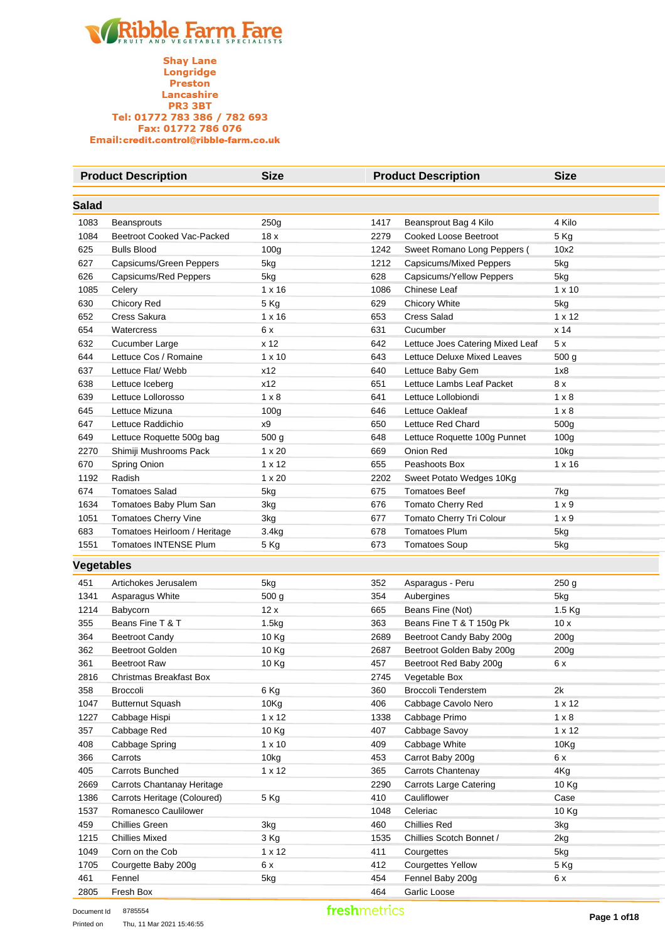

|                   | <b>Product Description</b>                | <b>Size</b>         |              | <b>Product Description</b>                            | <b>Size</b>          |
|-------------------|-------------------------------------------|---------------------|--------------|-------------------------------------------------------|----------------------|
| Salad             |                                           |                     |              |                                                       |                      |
|                   |                                           |                     |              |                                                       | 4 Kilo               |
| 1083<br>1084      | Beansprouts<br>Beetroot Cooked Vac-Packed | 250g<br>18x         | 1417<br>2279 | Beansprout Bag 4 Kilo<br><b>Cooked Loose Beetroot</b> | 5 Kg                 |
| 625               | <b>Bulls Blood</b>                        |                     | 1242         |                                                       | 10x2                 |
| 627               |                                           | 100 <sub>g</sub>    | 1212         | Sweet Romano Long Peppers (                           |                      |
| 626               | Capsicums/Green Peppers                   | 5kg                 | 628          | Capsicums/Mixed Peppers<br>Capsicums/Yellow Peppers   | 5kg                  |
|                   | Capsicums/Red Peppers                     | 5kg                 |              |                                                       | 5kg                  |
| 1085              | Celery                                    | $1 \times 16$       | 1086         | Chinese Leaf                                          | $1 \times 10$        |
| 630<br>652        | Chicory Red                               | 5 Kg                | 629          | Chicory White<br><b>Cress Salad</b>                   | 5kg<br>$1 \times 12$ |
| 654               | Cress Sakura<br>Watercress                | $1 \times 16$<br>6x | 653<br>631   | Cucumber                                              | x 14                 |
|                   |                                           |                     |              |                                                       |                      |
| 632               | Cucumber Large                            | x 12                | 642          | Lettuce Joes Catering Mixed Leaf                      | 5x                   |
| 644               | Lettuce Cos / Romaine                     | $1 \times 10$       | 643          | Lettuce Deluxe Mixed Leaves                           | 500 g                |
| 637               | Lettuce Flat/ Webb                        | x12                 | 640          | Lettuce Baby Gem                                      | 1x8                  |
| 638               | Lettuce Iceberg                           | x12                 | 651          | Lettuce Lambs Leaf Packet                             | 8 x                  |
| 639               | Lettuce Lollorosso                        | $1 \times 8$        | 641          | Lettuce Lollobiondi                                   | $1 \times 8$         |
| 645               | Lettuce Mizuna                            | 100 <sub>g</sub>    | 646          | Lettuce Oakleaf                                       | $1 \times 8$         |
| 647               | Lettuce Raddichio                         | x9                  | 650          | Lettuce Red Chard                                     | 500g                 |
| 649               | Lettuce Roquette 500g bag                 | 500 g               | 648          | Lettuce Roquette 100g Punnet                          | 100 <sub>g</sub>     |
| 2270              | Shimiji Mushrooms Pack                    | $1 \times 20$       | 669          | Onion Red                                             | 10kg                 |
| 670               | Spring Onion                              | $1 \times 12$       | 655          | Peashoots Box                                         | $1 \times 16$        |
| 1192              | Radish                                    | $1 \times 20$       | 2202         | Sweet Potato Wedges 10Kg                              |                      |
| 674               | <b>Tomatoes Salad</b>                     | 5kg                 | 675          | <b>Tomatoes Beef</b>                                  | 7kg                  |
| 1634              | Tomatoes Baby Plum San                    | 3kg                 | 676          | Tomato Cherry Red                                     | $1 \times 9$         |
| 1051              | Tomatoes Cherry Vine                      | 3kg                 | 677          | Tomato Cherry Tri Colour                              | $1 \times 9$         |
| 683               | Tomatoes Heirloom / Heritage              | 3.4kg               | 678          | <b>Tomatoes Plum</b>                                  | 5kg                  |
| 1551              | Tomatoes INTENSE Plum                     | 5 Kg                | 673          | <b>Tomatoes Soup</b>                                  | 5kg                  |
| <b>Vegetables</b> |                                           |                     |              |                                                       |                      |
| 451               | Artichokes Jerusalem                      | 5kg                 | 352          | Asparagus - Peru                                      | 250 g                |
| 1341              | Asparagus White                           | 500 g               | 354          | Aubergines                                            | 5kg                  |
| 1214              | Babycorn                                  | 12x                 | 665          | Beans Fine (Not)                                      | 1.5 Kg               |
| 355               | Beans Fine T & T                          | 1.5kg               | 363          | Beans Fine T & T 150g Pk                              | 10x                  |
| 364               | <b>Beetroot Candy</b>                     | 10 Kg               | 2689         | Beetroot Candy Baby 200g                              | 200 <sub>g</sub>     |
| 362               | <b>Beetroot Golden</b>                    | 10 Kg               | 2687         | Beetroot Golden Baby 200g                             | 200g                 |
| 361               | <b>Beetroot Raw</b>                       | 10 Kg               | 457          | Beetroot Red Baby 200g                                | 6 x                  |
| 2816              | Christmas Breakfast Box                   |                     | 2745         | Vegetable Box                                         |                      |
| 358               | Broccoli                                  | 6 Kg                | 360          | <b>Broccoli Tenderstem</b>                            | 2k                   |
| 1047              | <b>Butternut Squash</b>                   | 10Kg                | 406          | Cabbage Cavolo Nero                                   | $1 \times 12$        |
| 1227              | Cabbage Hispi                             | $1 \times 12$       | 1338         | Cabbage Primo                                         | $1 \times 8$         |
| 357               | Cabbage Red                               | 10 Kg               | 407          | Cabbage Savoy                                         | $1 \times 12$        |
| 408               | Cabbage Spring                            | $1 \times 10$       | 409          | Cabbage White                                         | 10Kg                 |
| 366               | Carrots                                   | 10kg                | 453          | Carrot Baby 200g                                      | 6 x                  |
| 405               | Carrots Bunched                           | 1 x 12              | 365          | Carrots Chantenay                                     | 4Kg                  |
| 2669              | Carrots Chantanay Heritage                |                     | 2290         | <b>Carrots Large Catering</b>                         | 10 Kg                |
| 1386              | Carrots Heritage (Coloured)               | 5 Kg                | 410          | Cauliflower                                           | Case                 |
| 1537              | Romanesco Caulilower                      |                     | 1048         | Celeriac                                              | 10 Kg                |
| 459               | <b>Chillies Green</b>                     | 3kg                 | 460          | <b>Chillies Red</b>                                   | 3kg                  |
| 1215              | <b>Chillies Mixed</b>                     | 3 Kg                | 1535         | Chillies Scotch Bonnet /                              | 2kg                  |
| 1049              | Corn on the Cob                           | 1 x 12              | 411          | Courgettes                                            | 5kg                  |
| 1705              | Courgette Baby 200g                       | 6 x                 | 412          | <b>Courgettes Yellow</b>                              | 5 Kg                 |
| 461               | Fennel                                    | 5kg                 | 454          | Fennel Baby 200g                                      | 6 x                  |
| 2805              | Fresh Box                                 |                     | 464          | Garlic Loose                                          |                      |
|                   |                                           |                     |              |                                                       |                      |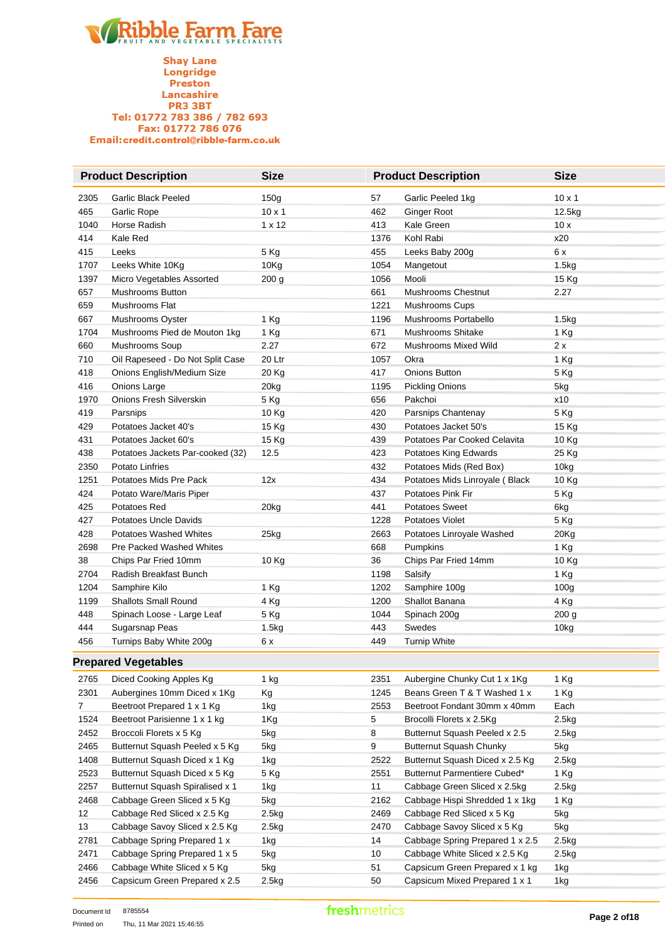**Shay Lane** Longridge Preston **Lancashire**<br>PR3 3BT Tel: 01772 783 386 / 782 693<br>Fax: 01772 786 076 Email:credit.control@ribble-farm.co.uk

|             | <b>Product Description</b>       | <b>Size</b>   | <b>Product Description</b> |                                | <b>Size</b>      |
|-------------|----------------------------------|---------------|----------------------------|--------------------------------|------------------|
| 2305        | <b>Garlic Black Peeled</b>       | 150g          | 57                         | Garlic Peeled 1kg              | $10 \times 1$    |
| 465         | Garlic Rope                      | $10 \times 1$ | 462                        | <b>Ginger Root</b>             | 12.5kg           |
| 1040        | Horse Radish                     | 1 x 12        | 413                        | Kale Green                     | 10x              |
| 414         | Kale Red                         |               | 1376                       | Kohl Rabi                      | x20              |
| 415         | Leeks                            | 5 Kg          | 455                        | Leeks Baby 200g                | 6 x              |
| 1707        | Leeks White 10Kg                 | 10Kg          | 1054                       | Mangetout                      | 1.5kg            |
| 1397        | Micro Vegetables Assorted        | 200 g         | 1056                       | Mooli                          | 15 Kg            |
| 657         | <b>Mushrooms Button</b>          |               | 661                        | <b>Mushrooms Chestnut</b>      | 2.27             |
| 659         | Mushrooms Flat                   |               | 1221                       | Mushrooms Cups                 |                  |
| 667         | Mushrooms Oyster                 | 1 Kg          | 1196                       | Mushrooms Portabello           | 1.5kg            |
| 1704        | Mushrooms Pied de Mouton 1kg     | 1 Kg          | 671                        | Mushrooms Shitake              | 1 Kg             |
| 660         | Mushrooms Soup                   | 2.27          | 672                        | Mushrooms Mixed Wild           | 2 x              |
| 710         | Oil Rapeseed - Do Not Split Case | 20 Ltr        | 1057                       | Okra                           | 1 Kg             |
| 418         | Onions English/Medium Size       | 20 Kg         | 417                        | Onions Button                  | 5 Kg             |
| 416         | Onions Large                     | 20kg          | 1195                       | <b>Pickling Onions</b>         | 5kg              |
| 1970        | Onions Fresh Silverskin          | 5 Kg          | 656                        | Pakchoi                        | x10              |
| 419         | Parsnips                         | 10 Kg         | 420                        | Parsnips Chantenay             | 5 Kg             |
| 429         | Potatoes Jacket 40's             | 15 Kg         | 430                        | Potatoes Jacket 50's           | 15 Kg            |
| 431         | Potatoes Jacket 60's             | 15 Kg         | 439                        | Potatoes Par Cooked Celavita   | 10 Kg            |
| 438         | Potatoes Jackets Par-cooked (32) | 12.5          | 423                        | Potatoes King Edwards          | 25 Kg            |
| 2350        | Potato Linfries                  |               | 432                        | Potatoes Mids (Red Box)        | 10kg             |
| 1251        | Potatoes Mids Pre Pack           | 12x           | 434                        | Potatoes Mids Linroyale (Black | 10 Kg            |
| 424         | Potato Ware/Maris Piper          |               | 437                        | Potatoes Pink Fir              | 5 Kg             |
| 425         | Potatoes Red                     | 20kg          | 441                        | <b>Potatoes Sweet</b>          | 6kg              |
| 427         | <b>Potatoes Uncle Davids</b>     |               | 1228                       | Potatoes Violet                | 5 Kg             |
| 428         | <b>Potatoes Washed Whites</b>    | 25kg          | 2663                       | Potatoes Linroyale Washed      | 20Kg             |
| 2698        | Pre Packed Washed Whites         |               | 668                        | Pumpkins                       | 1 Kg             |
| 38          | Chips Par Fried 10mm             | 10 Kg         | 36                         | Chips Par Fried 14mm           | 10 Kg            |
| 2704        | Radish Breakfast Bunch           |               | 1198                       | Salsify                        | 1 Kg             |
| 1204        | Samphire Kilo                    | 1 Kg          | 1202                       | Samphire 100g                  | 100 <sub>g</sub> |
| 1199        | <b>Shallots Small Round</b>      | 4 Kg          | 1200                       | Shallot Banana                 | 4 Kg             |
| 448         | Spinach Loose - Large Leaf       | 5 Kg          | 1044                       | Spinach 200g                   | 200 g            |
| 444         | Sugarsnap Peas                   | 1.5kg         | 443                        | Swedes                         | 10kg             |
| 456         | Turnips Baby White 200g          | 6 x           | 449                        | <b>Turnip White</b>            |                  |
|             | <b>Prepared Vegetables</b>       |               |                            |                                |                  |
| 2765        | Diced Cooking Apples Kg          | 1 kg          | 2351                       | Aubergine Chunky Cut 1 x 1Kg   | 1 Kg             |
| 2301        | Aubergines 10mm Diced x 1Kg      | Кg            | 1245                       | Beans Green T & T Washed 1 x   | 1 Kg             |
| $7^{\circ}$ | Beetroot Prepared 1 x 1 Kg       | 1kg           | 2553                       | Beetroot Fondant 30mm x 40mm   | Each             |
| 1524        | Beetroot Parisienne 1 x 1 kg     | 1Kg           | 5                          | Brocolli Florets x 2.5Kg       | 2.5kg            |
| 2452        | Broccoli Florets x 5 Kg          | 5kg           | 8                          | Butternut Squash Peeled x 2.5  | 2.5kg            |
| 2465        | Butternut Squash Peeled x 5 Kg   | 5kg           | 9                          | Butternut Squash Chunky        | 5kg              |
|             |                                  |               |                            |                                |                  |

| 2765              | Diced Cooking Apples Kg         | 1 kg  | 2351 | Aubergine Chunky Cut 1 x 1Kg    | 1 Kg  |
|-------------------|---------------------------------|-------|------|---------------------------------|-------|
| 2301              | Aubergines 10mm Diced x 1Kg     | Kg    | 1245 | Beans Green T & T Washed 1 x    | 1 Kg  |
| 7                 | Beetroot Prepared 1 x 1 Kg      | 1kg   | 2553 | Beetroot Fondant 30mm x 40mm    | Each  |
| 1524              | Beetroot Parisienne 1 x 1 kg    | 1Kg   | 5    | Brocolli Florets x 2.5Kg        | 2.5kg |
| 2452              | Broccoli Florets x 5 Kg         | 5kg   | 8    | Butternut Squash Peeled x 2.5   | 2.5kg |
| 2465              | Butternut Squash Peeled x 5 Kg  | 5kg   | 9    | Butternut Squash Chunky         | 5kg   |
| 1408              | Butternut Squash Diced x 1 Kg   | 1kg   | 2522 | Butternut Squash Diced x 2.5 Kg | 2.5kg |
| 2523              | Butternut Squash Diced x 5 Kg   | 5 Kg  | 2551 | Butternut Parmentiere Cubed*    | 1 Kg  |
| 2257              | Butternut Squash Spiralised x 1 | 1kg   | 11   | Cabbage Green Sliced x 2.5kg    | 2.5kg |
| 2468              | Cabbage Green Sliced x 5 Kg     | 5kg   | 2162 | Cabbage Hispi Shredded 1 x 1kg  | 1 Kg  |
| $12 \overline{ }$ | Cabbage Red Sliced x 2.5 Kg     | 2.5kg | 2469 | Cabbage Red Sliced x 5 Kg       | 5kg   |
| 13                | Cabbage Savoy Sliced x 2.5 Kg   | 2.5kg | 2470 | Cabbage Savoy Sliced x 5 Kg     | 5kg   |
| 2781              | Cabbage Spring Prepared 1 x     | 1kg   | 14   | Cabbage Spring Prepared 1 x 2.5 | 2.5kg |
| 2471              | Cabbage Spring Prepared 1 x 5   | 5kg   | 10   | Cabbage White Sliced x 2.5 Kg   | 2.5kg |
| 2466              | Cabbage White Sliced x 5 Kg     | 5kg   | 51   | Capsicum Green Prepared x 1 kg  | 1kg   |
| 2456              | Capsicum Green Prepared x 2.5   | 2.5kg | 50   | Capsicum Mixed Prepared 1 x 1   | 1kg   |
|                   |                                 |       |      |                                 |       |

 $\mathcal{L}_{\mathcal{A}}$  $\mathcal{L}_{\mathcal{A}}$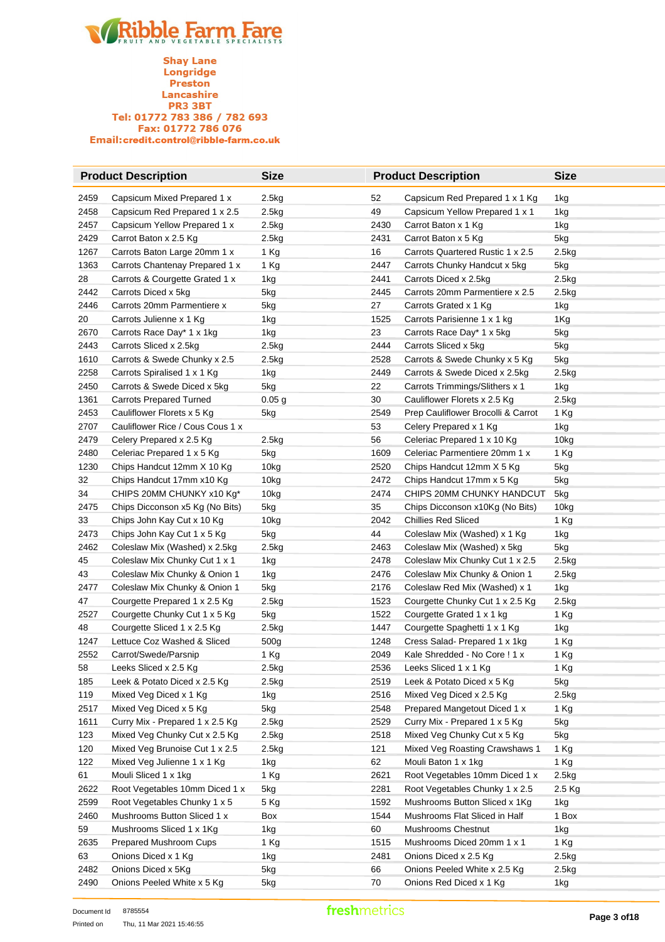**Shay Lane** Longridge Preston Lancashire **PR3 3BT** Tel: 01772 783 386 / 782 693 Fax: 01772 786 076 Email:credit.control@ribble-farm.co.uk

|      | <b>Product Description</b>       | <b>Size</b>       |      | <b>Product Description</b>         | <b>Size</b>      |
|------|----------------------------------|-------------------|------|------------------------------------|------------------|
| 2459 | Capsicum Mixed Prepared 1 x      | 2.5kg             | 52   | Capsicum Red Prepared 1 x 1 Kg     | 1kg              |
| 2458 | Capsicum Red Prepared 1 x 2.5    | 2.5kg             | 49   | Capsicum Yellow Prepared 1 x 1     | 1kg              |
| 2457 | Capsicum Yellow Prepared 1 x     | 2.5kg             | 2430 | Carrot Baton x 1 Kg                | 1kg              |
| 2429 | Carrot Baton x 2.5 Kg            | 2.5kg             | 2431 | Carrot Baton x 5 Kg                | 5kg              |
| 1267 | Carrots Baton Large 20mm 1 x     | 1 Kg              | 16   | Carrots Quartered Rustic 1 x 2.5   | 2.5kg            |
| 1363 | Carrots Chantenay Prepared 1 x   | 1 Kg              | 2447 | Carrots Chunky Handcut x 5kg       | 5kg              |
| 28   | Carrots & Courgette Grated 1 x   | 1kg               | 2441 | Carrots Diced x 2.5kg              | 2.5kg            |
| 2442 | Carrots Diced x 5kg              | 5kg               | 2445 | Carrots 20mm Parmentiere x 2.5     | 2.5kg            |
| 2446 | Carrots 20mm Parmentiere x       | 5kg               | 27   | Carrots Grated x 1 Kg              | 1kg              |
| 20   | Carrots Julienne x 1 Kg          | 1kg               | 1525 | Carrots Parisienne 1 x 1 kg        | 1Kg              |
| 2670 | Carrots Race Day* 1 x 1kg        | 1kg               | 23   | Carrots Race Day* 1 x 5kg          | 5kg              |
| 2443 | Carrots Sliced x 2.5kg           | 2.5kg             | 2444 | Carrots Sliced x 5kg               | 5kg              |
| 1610 | Carrots & Swede Chunky x 2.5     | 2.5kg             | 2528 | Carrots & Swede Chunky x 5 Kg      | 5kg              |
| 2258 | Carrots Spiralised 1 x 1 Kg      | 1kg               | 2449 | Carrots & Swede Diced x 2.5kg      | 2.5kg            |
| 2450 | Carrots & Swede Diced x 5kg      | 5kg               | 22   | Carrots Trimmings/Slithers x 1     | 1kg              |
| 1361 | <b>Carrots Prepared Turned</b>   | 0.05 <sub>g</sub> | 30   | Cauliflower Florets x 2.5 Kg       | 2.5kg            |
| 2453 | Cauliflower Florets x 5 Kg       | 5kg               | 2549 | Prep Cauliflower Brocolli & Carrot | 1 Kg             |
|      | Cauliflower Rice / Cous Cous 1 x |                   |      |                                    |                  |
| 2707 |                                  |                   | 53   | Celery Prepared x 1 Kg             | 1kg              |
| 2479 | Celery Prepared x 2.5 Kg         | 2.5kg             | 56   | Celeriac Prepared 1 x 10 Kg        | 10 <sub>kg</sub> |
| 2480 | Celeriac Prepared 1 x 5 Kg       | 5kg               | 1609 | Celeriac Parmentiere 20mm 1 x      | 1 Kg             |
| 1230 | Chips Handcut 12mm X 10 Kg       | 10 <sub>kg</sub>  | 2520 | Chips Handcut 12mm X 5 Kg          | 5kg              |
| 32   | Chips Handcut 17mm x10 Kg        | 10 <sub>kg</sub>  | 2472 | Chips Handcut 17mm x 5 Kg          | 5kg              |
| 34   | CHIPS 20MM CHUNKY x10 Kg*        | 10 <sub>kg</sub>  | 2474 | CHIPS 20MM CHUNKY HANDCUT          | 5kg              |
| 2475 | Chips Dicconson x5 Kg (No Bits)  | 5kg               | 35   | Chips Dicconson x10Kg (No Bits)    | 10 <sub>kg</sub> |
| 33   | Chips John Kay Cut x 10 Kg       | 10 <sub>kg</sub>  | 2042 | <b>Chillies Red Sliced</b>         | 1 Kg             |
| 2473 | Chips John Kay Cut 1 x 5 Kg      | 5kg               | 44   | Coleslaw Mix (Washed) x 1 Kg       | 1kg              |
| 2462 | Coleslaw Mix (Washed) x 2.5kg    | 2.5kg             | 2463 | Coleslaw Mix (Washed) x 5kg        | 5kg              |
| 45   | Coleslaw Mix Chunky Cut 1 x 1    | 1kg               | 2478 | Coleslaw Mix Chunky Cut 1 x 2.5    | 2.5kg            |
| 43   | Coleslaw Mix Chunky & Onion 1    | 1kg               | 2476 | Coleslaw Mix Chunky & Onion 1      | 2.5kg            |
| 2477 | Coleslaw Mix Chunky & Onion 1    | 5kg               | 2176 | Coleslaw Red Mix (Washed) x 1      | 1kg              |
| 47   | Courgette Prepared 1 x 2.5 Kg    | 2.5kg             | 1523 | Courgette Chunky Cut 1 x 2.5 Kg    | 2.5kg            |
| 2527 | Courgette Chunky Cut 1 x 5 Kg    | 5kg               | 1522 | Courgette Grated 1 x 1 kg          | 1 Kg             |
| 48   | Courgette Sliced 1 x 2.5 Kg      | 2.5kg             | 1447 | Courgette Spaghetti 1 x 1 Kg       | 1kg              |
| 1247 | Lettuce Coz Washed & Sliced      | 500 <sub>g</sub>  | 1248 | Cress Salad-Prepared 1 x 1kg       | 1 Kg             |
| 2552 | Carrot/Swede/Parsnip             | 1 Kg              | 2049 | Kale Shredded - No Core ! 1 x      | 1 Kg             |
| 58   | Leeks Sliced x 2.5 Kg            | 2.5kg             | 2536 | Leeks Sliced 1 x 1 Kg              | 1 Kg             |
| 185  | Leek & Potato Diced x 2.5 Kg     | 2.5kg             | 2519 | Leek & Potato Diced x 5 Kg         | 5kg              |
| 119  | Mixed Veg Diced x 1 Kg           | 1kg               | 2516 | Mixed Veg Diced x 2.5 Kg           | 2.5kg            |
| 2517 | Mixed Veg Diced x 5 Kg           | 5kg               | 2548 | Prepared Mangetout Diced 1 x       | 1 Kg             |
| 1611 | Curry Mix - Prepared 1 x 2.5 Kg  | 2.5kg             | 2529 | Curry Mix - Prepared 1 x 5 Kg      | 5kg              |
| 123  | Mixed Veg Chunky Cut x 2.5 Kg    | 2.5kg             | 2518 | Mixed Veg Chunky Cut x 5 Kg        | 5kg              |
| 120  | Mixed Veg Brunoise Cut 1 x 2.5   | 2.5kg             | 121  | Mixed Veg Roasting Crawshaws 1     | 1 Kg             |
| 122  | Mixed Veg Julienne 1 x 1 Kg      | 1kg               | 62   | Mouli Baton 1 x 1kg                | 1 Kg             |
| 61   | Mouli Sliced 1 x 1kg             | 1 Kg              | 2621 | Root Vegetables 10mm Diced 1 x     | 2.5kg            |
| 2622 | Root Vegetables 10mm Diced 1 x   | 5kg               | 2281 | Root Vegetables Chunky 1 x 2.5     | 2.5 Kg           |
| 2599 | Root Vegetables Chunky 1 x 5     | 5 Kg              | 1592 | Mushrooms Button Sliced x 1Kg      | 1kg              |
| 2460 | Mushrooms Button Sliced 1 x      | Box               | 1544 | Mushrooms Flat Sliced in Half      | 1 Box            |
| 59   | Mushrooms Sliced 1 x 1Kg         | 1kg               | 60   | Mushrooms Chestnut                 | 1kg              |
| 2635 | Prepared Mushroom Cups           | 1 Kg              | 1515 | Mushrooms Diced 20mm 1 x 1         | 1 Kg             |
| 63   | Onions Diced x 1 Kg              | 1kg               | 2481 | Onions Diced x 2.5 Kg              | 2.5kg            |
| 2482 | Onions Diced x 5Kg               | 5kg               | 66   | Onions Peeled White x 2.5 Kg       | 2.5kg            |
| 2490 | Onions Peeled White x 5 Kg       | 5kg               | 70   | Onions Red Diced x 1 Kg            | 1kg              |
|      |                                  |                   |      |                                    |                  |

### freshmetrics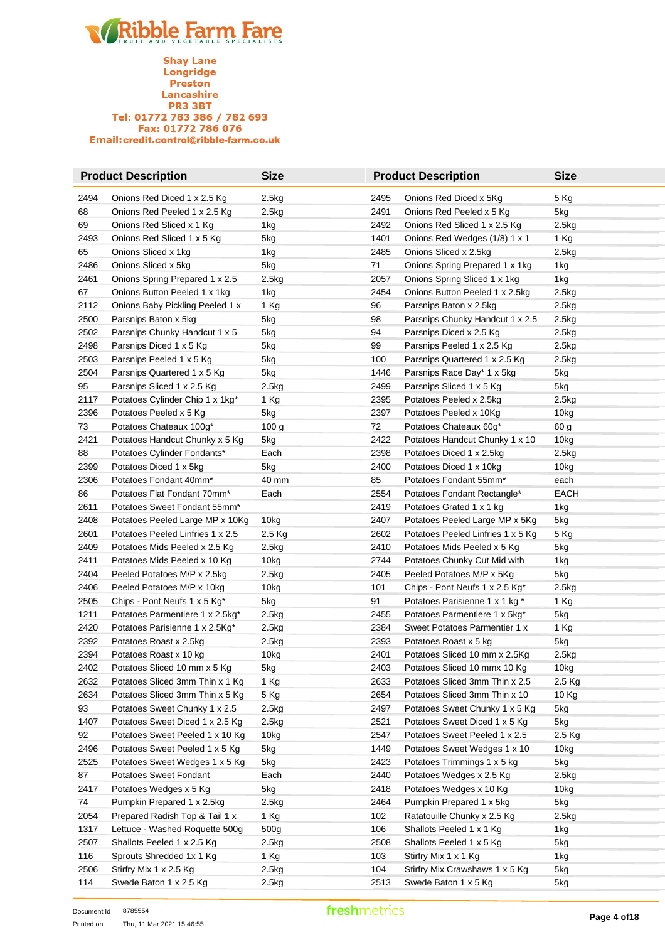**Shay Lane** Longridge Preston Lancashire **PR3 3BT** Tel: 01772 783 386 / 782 693 Fax: 01772 786 076 Email:credit.control@ribble-farm.co.uk

|      | <b>Product Description</b>       | <b>Size</b>      | <b>Product Description</b> |                                   | <b>Size</b>      |
|------|----------------------------------|------------------|----------------------------|-----------------------------------|------------------|
| 2494 | Onions Red Diced 1 x 2.5 Kg      | 2.5kg            | 2495                       | Onions Red Diced x 5Kg            | 5 Kg             |
| 68   | Onions Red Peeled 1 x 2.5 Kg     | 2.5kg            | 2491                       | Onions Red Peeled x 5 Kg          | 5kg              |
| 69   | Onions Red Sliced x 1 Kg         | 1kg              | 2492                       | Onions Red Sliced 1 x 2.5 Kg      | 2.5kg            |
| 2493 | Onions Red Sliced 1 x 5 Kg       | 5kg              | 1401                       | Onions Red Wedges (1/8) 1 x 1     | 1 Kg             |
| 65   | Onions Sliced x 1kg              | 1kg              | 2485                       | Onions Sliced x 2.5kg             | 2.5kg            |
| 2486 | Onions Sliced x 5kg              | 5kg              | 71                         | Onions Spring Prepared 1 x 1kg    | 1kg              |
| 2461 | Onions Spring Prepared 1 x 2.5   | 2.5kg            | 2057                       | Onions Spring Sliced 1 x 1kg      | 1kg              |
| 67   | Onions Button Peeled 1 x 1kg     | 1kg              | 2454                       | Onions Button Peeled 1 x 2.5kg    | 2.5kg            |
| 2112 | Onions Baby Pickling Peeled 1 x  | 1 Kg             | 96                         | Parsnips Baton x 2.5kg            | 2.5kg            |
| 2500 | Parsnips Baton x 5kg             | 5kg              | 98                         | Parsnips Chunky Handcut 1 x 2.5   | 2.5kg            |
| 2502 | Parsnips Chunky Handcut 1 x 5    | 5kg              | 94                         | Parsnips Diced x 2.5 Kg           | 2.5kg            |
| 2498 | Parsnips Diced 1 x 5 Kg          | 5kg              | 99                         | Parsnips Peeled 1 x 2.5 Kg        | 2.5kg            |
| 2503 | Parsnips Peeled 1 x 5 Kg         | 5kg              | 100                        | Parsnips Quartered 1 x 2.5 Kg     | 2.5kg            |
| 2504 | Parsnips Quartered 1 x 5 Kg      | 5kg              | 1446                       | Parsnips Race Day* 1 x 5kg        | 5kg              |
| 95   | Parsnips Sliced 1 x 2.5 Kg       | 2.5kg            | 2499                       | Parsnips Sliced 1 x 5 Kg          | 5kg              |
| 2117 | Potatoes Cylinder Chip 1 x 1kg*  | 1 Kg             | 2395                       | Potatoes Peeled x 2.5kg           | 2.5kg            |
| 2396 | Potatoes Peeled x 5 Kg           | 5kg              | 2397                       | Potatoes Peeled x 10Kg            | 10kg             |
| 73   | Potatoes Chateaux 100g*          | 100 <sub>g</sub> | 72                         | Potatoes Chateaux 60g*            | 60 g             |
| 2421 | Potatoes Handcut Chunky x 5 Kg   | 5kg              | 2422                       | Potatoes Handcut Chunky 1 x 10    | 10kg             |
| 88   | Potatoes Cylinder Fondants*      | Each             | 2398                       | Potatoes Diced 1 x 2.5kg          | 2.5kg            |
| 2399 | Potatoes Diced 1 x 5kg           | 5kg              | 2400                       | Potatoes Diced 1 x 10kg           | 10 <sub>kg</sub> |
| 2306 | Potatoes Fondant 40mm*           | 40 mm            | 85                         | Potatoes Fondant 55mm*            | each             |
| 86   | Potatoes Flat Fondant 70mm*      | Each             | 2554                       | Potatoes Fondant Rectangle*       | <b>EACH</b>      |
| 2611 | Potatoes Sweet Fondant 55mm*     |                  | 2419                       | Potatoes Grated 1 x 1 kg          | 1kg              |
| 2408 | Potatoes Peeled Large MP x 10Kg  | 10kg             | 2407                       | Potatoes Peeled Large MP x 5Kg    | 5kg              |
| 2601 | Potatoes Peeled Linfries 1 x 2.5 | 2.5 Kg           | 2602                       | Potatoes Peeled Linfries 1 x 5 Kg | 5 Kg             |
| 2409 | Potatoes Mids Peeled x 2.5 Kg    | 2.5kg            | 2410                       | Potatoes Mids Peeled x 5 Kg       | 5kg              |
| 2411 | Potatoes Mids Peeled x 10 Kg     | 10kg             | 2744                       | Potatoes Chunky Cut Mid with      | 1kg              |
| 2404 | Peeled Potatoes M/P x 2.5kg      | 2.5kg            | 2405                       | Peeled Potatoes M/P x 5Kg         | 5kg              |
| 2406 | Peeled Potatoes M/P x 10kg       | 10 <sub>kg</sub> | 101                        | Chips - Pont Neufs 1 x 2.5 Kg*    | 2.5kg            |
| 2505 | Chips - Pont Neufs 1 x 5 Kg*     | 5kg              | 91                         | Potatoes Parisienne 1 x 1 kg *    | 1 Kg             |
| 1211 | Potatoes Parmentiere 1 x 2.5kg*  | 2.5kg            | 2455                       | Potatoes Parmentiere 1 x 5kg*     | 5kg              |
| 2420 | Potatoes Parisienne 1 x 2.5Kg*   | 2.5kg            | 2384                       | Sweet Potatoes Parmentier 1 x     | 1 Kg             |
| 2392 | Potatoes Roast x 2.5kg           | 2.5kg            | 2393                       | Potatoes Roast x 5 kg             | 5kg              |
| 2394 | Potatoes Roast x 10 kg           | 10kg             | 2401                       | Potatoes Sliced 10 mm x 2.5Kg     | 2.5kg            |
| 2402 | Potatoes Sliced 10 mm x 5 Kg     | 5kg              | 2403                       | Potatoes Sliced 10 mmx 10 Kg      | 10kg             |
| 2632 | Potatoes Sliced 3mm Thin x 1 Kg  | 1 Kg             | 2633                       | Potatoes Sliced 3mm Thin x 2.5    | 2.5 Kg           |
| 2634 | Potatoes Sliced 3mm Thin x 5 Kg  | 5 Kg             | 2654                       | Potatoes Sliced 3mm Thin x 10     | 10 Kg            |
| 93   | Potatoes Sweet Chunky 1 x 2.5    | 2.5kg            | 2497                       | Potatoes Sweet Chunky 1 x 5 Kg    | 5kg              |
| 1407 | Potatoes Sweet Diced 1 x 2.5 Kg  | 2.5kg            | 2521                       | Potatoes Sweet Diced 1 x 5 Kg     | 5kg              |
| 92   | Potatoes Sweet Peeled 1 x 10 Kg  | 10kg             | 2547                       | Potatoes Sweet Peeled 1 x 2.5     | 2.5 Kg           |
| 2496 | Potatoes Sweet Peeled 1 x 5 Kg   | 5kg              | 1449                       | Potatoes Sweet Wedges 1 x 10      | 10kg             |
| 2525 | Potatoes Sweet Wedges 1 x 5 Kg   | 5kg              | 2423                       | Potatoes Trimmings 1 x 5 kg       | 5kg              |
| 87   | <b>Potatoes Sweet Fondant</b>    | Each             | 2440                       | Potatoes Wedges x 2.5 Kg          | 2.5kg            |
| 2417 | Potatoes Wedges x 5 Kg           | 5kg              | 2418                       | Potatoes Wedges x 10 Kg           | 10kg             |
| 74   | Pumpkin Prepared 1 x 2.5kg       | 2.5kg            | 2464                       | Pumpkin Prepared 1 x 5kg          | 5kg              |
| 2054 | Prepared Radish Top & Tail 1 x   | 1 Kg             | 102                        | Ratatouille Chunky x 2.5 Kg       | 2.5kg            |
| 1317 | Lettuce - Washed Roquette 500g   | 500g             | 106                        | Shallots Peeled 1 x 1 Kg          | 1kg              |
| 2507 | Shallots Peeled 1 x 2.5 Kg       | 2.5kg            | 2508                       | Shallots Peeled 1 x 5 Kg          | 5kg              |
| 116  | Sprouts Shredded 1x 1 Kg         | 1 Kg             | 103                        | Stirfry Mix 1 x 1 Kg              | 1kg              |
| 2506 | Stirfry Mix 1 x 2.5 Kg           | 2.5kg            | 104                        | Stirfry Mix Crawshaws 1 x 5 Kg    | 5kg              |
| 114  | Swede Baton 1 x 2.5 Kg           | 2.5kg            | 2513                       | Swede Baton 1 x 5 Kg              | 5kg              |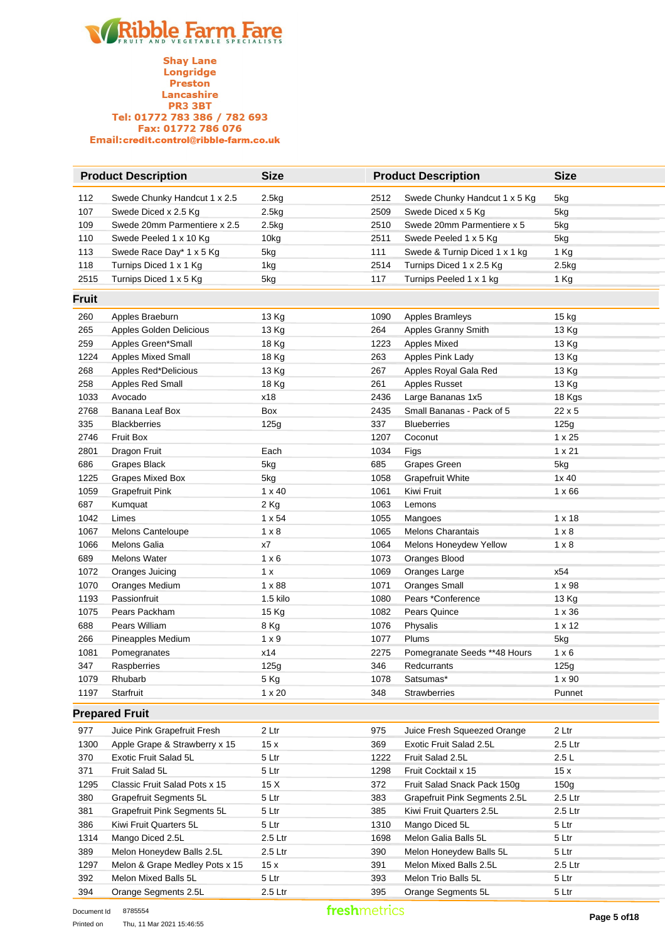|       | <b>Product Description</b>     | <b>Size</b>   | <b>Product Description</b> |                               | <b>Size</b>   |
|-------|--------------------------------|---------------|----------------------------|-------------------------------|---------------|
| 112   | Swede Chunky Handcut 1 x 2.5   | 2.5kg         | 2512                       | Swede Chunky Handcut 1 x 5 Kg | 5kg           |
| 107   | Swede Diced x 2.5 Kg           | 2.5kg         | 2509                       | Swede Diced x 5 Kg            | 5kg           |
| 109   | Swede 20mm Parmentiere x 2.5   | 2.5kg         | 2510                       | Swede 20mm Parmentiere x 5    | 5kg           |
| 110   | Swede Peeled 1 x 10 Kg         | 10kg          | 2511                       | Swede Peeled 1 x 5 Kg         | 5kg           |
| 113   | Swede Race Day* 1 x 5 Kg       | 5kg           | 111                        | Swede & Turnip Diced 1 x 1 kg | 1 Kg          |
| 118   | Turnips Diced 1 x 1 Kg         | 1kg           | 2514                       | Turnips Diced 1 x 2.5 Kg      | 2.5kg         |
| 2515  | Turnips Diced 1 x 5 Kg         | 5kg           | 117                        | Turnips Peeled 1 x 1 kg       | 1 Kg          |
| Fruit |                                |               |                            |                               |               |
| 260   | Apples Braeburn                | 13 Kg         | 1090                       | Apples Bramleys               | 15 kg         |
| 265   | Apples Golden Delicious        | 13 Kg         | 264                        | Apples Granny Smith           | 13 Kg         |
| 259   | Apples Green*Small             | 18 Kg         | 1223                       | <b>Apples Mixed</b>           | 13 Kg         |
| 1224  | <b>Apples Mixed Small</b>      | 18 Kg         | 263                        | Apples Pink Lady              | 13 Kg         |
| 268   | Apples Red*Delicious           | 13 Kg         | 267                        | Apples Royal Gala Red         | 13 Kg         |
| 258   | Apples Red Small               | 18 Kg         | 261                        | Apples Russet                 | 13 Kg         |
| 1033  | Avocado                        | x18           | 2436                       | Large Bananas 1x5             | 18 Kgs        |
| 2768  | Banana Leaf Box                | Box           | 2435                       | Small Bananas - Pack of 5     | 22 x 5        |
| 335   | <b>Blackberries</b>            | 125g          | 337                        | <b>Blueberries</b>            | 125g          |
| 2746  | <b>Fruit Box</b>               |               | 1207                       | Coconut                       | $1 \times 25$ |
| 2801  | Dragon Fruit                   | Each          | 1034                       | Figs                          | $1 \times 21$ |
| 686   | Grapes Black                   | 5kg           | 685                        | Grapes Green                  | 5kg           |
| 1225  | <b>Grapes Mixed Box</b>        | 5kg           | 1058                       | <b>Grapefruit White</b>       | 1x40          |
| 1059  | <b>Grapefruit Pink</b>         | $1 \times 40$ | 1061                       | Kiwi Fruit                    | $1 \times 66$ |
| 687   | Kumquat                        | 2 Kg          | 1063                       | Lemons                        |               |
| 1042  | Limes                          | $1 \times 54$ | 1055                       | Mangoes                       | $1 \times 18$ |
| 1067  | Melons Canteloupe              | $1 \times 8$  | 1065                       | <b>Melons Charantais</b>      | $1 \times 8$  |
| 1066  | <b>Melons Galia</b>            | х7            | 1064                       | Melons Honeydew Yellow        | $1 \times 8$  |
| 689   | <b>Melons Water</b>            | $1 \times 6$  | 1073                       | Oranges Blood                 |               |
| 1072  | Oranges Juicing                | 1 x           | 1069                       | Oranges Large                 | x54           |
| 1070  | Oranges Medium                 | $1 \times 88$ | 1071                       | <b>Oranges Small</b>          | $1 \times 98$ |
| 1193  | Passionfruit                   | 1.5 kilo      | 1080                       | Pears *Conference             | 13 Kg         |
| 1075  | Pears Packham                  | 15 Kg         | 1082                       | Pears Quince                  | $1 \times 36$ |
| 688   | Pears William                  | 8 Kg          | 1076                       | Physalis                      | $1 \times 12$ |
| 266   | Pineapples Medium              | $1 \times 9$  | 1077                       | Plums                         | 5kg           |
| 1081  | Pomegranates                   | x14           | 2275                       | Pomegranate Seeds **48 Hours  | $1 \times 6$  |
| 347   | Raspberries                    | 125g          | 346                        | Redcurrants                   | 125g          |
| 1079  | Rhubarb                        | 5 Kg          | 1078                       | Satsumas*                     | $1 \times 90$ |
| 1197  | Starfruit                      | $1 \times 20$ | 348                        | <b>Strawberries</b>           | Punnet        |
|       | <b>Prepared Fruit</b>          |               |                            |                               |               |
| 977   | Juice Pink Grapefruit Fresh    | 2 Ltr         | 975                        | Juice Fresh Squeezed Orange   | 2 Ltr         |
| 1300  | Apple Grape & Strawberry x 15  | 15x           | 369                        | Exotic Fruit Salad 2.5L       | 2.5 Ltr       |
| 370   | Exotic Fruit Salad 5L          | 5 Ltr         | 1222                       | Fruit Salad 2.5L              | 2.5L          |
| 371   | Fruit Salad 5L                 | 5 Ltr         | 1298                       | Fruit Cocktail x 15           | 15x           |
| 1295  | Classic Fruit Salad Pots x 15  | 15 X          | 372                        | Fruit Salad Snack Pack 150g   | 150g          |
| 380   | Grapefruit Segments 5L         | 5 Ltr         | 383                        | Grapefruit Pink Segments 2.5L | 2.5 Ltr       |
| 381   | Grapefruit Pink Segments 5L    | 5 Ltr         | 385                        | Kiwi Fruit Quarters 2.5L      | 2.5 Ltr       |
| 386   | Kiwi Fruit Quarters 5L         | 5 Ltr         | 1310                       | Mango Diced 5L                | 5 Ltr         |
| 1314  | Mango Diced 2.5L               | 2.5 Ltr       | 1698                       | Melon Galia Balls 5L          | 5 Ltr         |
| 389   | Melon Honeydew Balls 2.5L      | 2.5 Ltr       | 390                        | Melon Honeydew Balls 5L       | 5 Ltr         |
| 1297  | Melon & Grape Medley Pots x 15 | 15x           | 391                        | Melon Mixed Balls 2.5L        | 2.5 Ltr       |
| 392   | Melon Mixed Balls 5L           | 5 Ltr         | 393                        | Melon Trio Balls 5L           | 5 Ltr         |
| 394   | Orange Segments 2.5L           | 2.5 Ltr       | 395                        | Orange Segments 5L            | 5 Ltr         |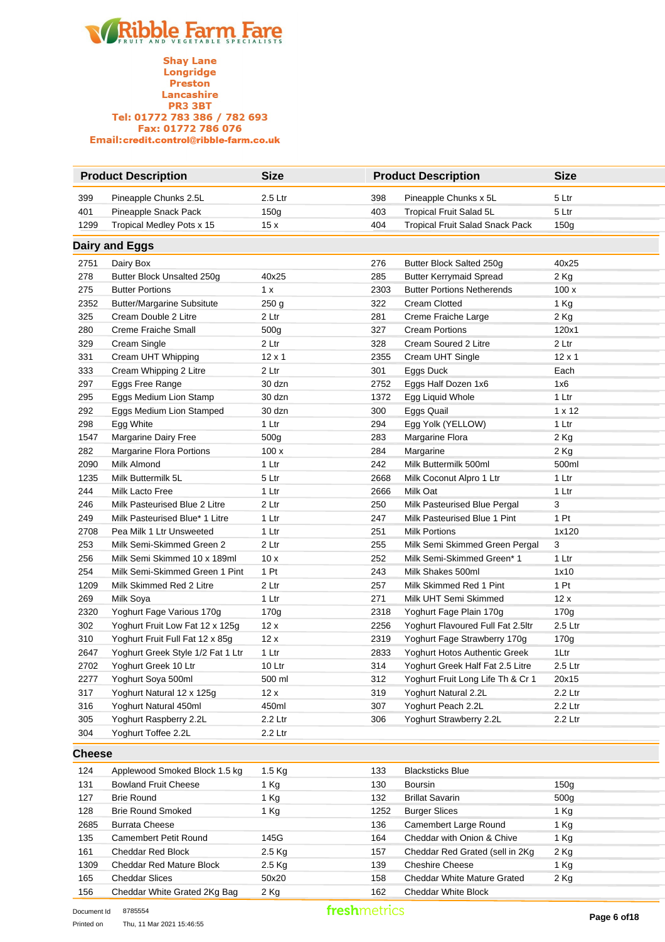

|               | <b>Product Description</b>        | <b>Size</b>      |      | <b>Product Description</b>             | <b>Size</b>      |
|---------------|-----------------------------------|------------------|------|----------------------------------------|------------------|
| 399           | Pineapple Chunks 2.5L             | 2.5 Ltr          | 398  | Pineapple Chunks x 5L                  | 5 Ltr            |
| 401           | Pineapple Snack Pack              | 150g             | 403  | Tropical Fruit Salad 5L                | 5 Ltr            |
| 1299          | Tropical Medley Pots x 15         | 15x              | 404  | <b>Tropical Fruit Salad Snack Pack</b> | 150 <sub>g</sub> |
|               | Dairy and Eggs                    |                  |      |                                        |                  |
| 2751          | Dairy Box                         |                  | 276  | Butter Block Salted 250g               | 40x25            |
| 278           | Butter Block Unsalted 250g        | 40x25            | 285  | <b>Butter Kerrymaid Spread</b>         | 2 Kg             |
| 275           | <b>Butter Portions</b>            | 1 x              | 2303 | <b>Butter Portions Netherends</b>      | 100x             |
| 2352          | <b>Butter/Margarine Subsitute</b> | 250 <sub>g</sub> | 322  | <b>Cream Clotted</b>                   | 1 Kg             |
| 325           | Cream Double 2 Litre              | 2 Ltr            | 281  | Creme Fraiche Large                    | 2 Kg             |
| 280           | <b>Creme Fraiche Small</b>        | 500g             | 327  | <b>Cream Portions</b>                  | 120x1            |
| 329           | Cream Single                      | 2 Ltr            | 328  | Cream Soured 2 Litre                   | 2 Ltr            |
| 331           | Cream UHT Whipping                | $12 \times 1$    | 2355 | Cream UHT Single                       | $12 \times 1$    |
| 333           | Cream Whipping 2 Litre            | 2 Ltr            | 301  | Eggs Duck                              | Each             |
| 297           | Eggs Free Range                   | 30 dzn           | 2752 | Eggs Half Dozen 1x6                    | 1x6              |
| 295           | Eggs Medium Lion Stamp            | 30 dzn           | 1372 | Egg Liquid Whole                       | 1 Ltr            |
| 292           | Eggs Medium Lion Stamped          | 30 dzn           | 300  | Eggs Quail                             | $1 \times 12$    |
| 298           | Egg White                         | 1 Ltr            | 294  | Egg Yolk (YELLOW)                      | 1 Ltr            |
| 1547          | Margarine Dairy Free              | 500 <sub>g</sub> | 283  | Margarine Flora                        | 2 Kg             |
| 282           | Margarine Flora Portions          | 100x             | 284  | Margarine                              | 2 Kg             |
| 2090          | Milk Almond                       | 1 Ltr            | 242  | Milk Buttermilk 500ml                  | 500ml            |
| 1235          | Milk Buttermilk 5L                | 5 Ltr            | 2668 | Milk Coconut Alpro 1 Ltr               | 1 Ltr            |
| 244           | Milk Lacto Free                   | 1 Ltr            | 2666 | Milk Oat                               | 1 Ltr            |
| 246           | Milk Pasteurised Blue 2 Litre     | 2 Ltr            | 250  | Milk Pasteurised Blue Pergal           | 3                |
| 249           | Milk Pasteurised Blue* 1 Litre    | 1 Ltr            | 247  | Milk Pasteurised Blue 1 Pint           | 1 Pt             |
| 2708          | Pea Milk 1 Ltr Unsweeted          | 1 Ltr            | 251  | <b>Milk Portions</b>                   | 1x120            |
| 253           | Milk Semi-Skimmed Green 2         | 2 Ltr            | 255  | Milk Semi Skimmed Green Pergal         | 3                |
| 256           | Milk Semi Skimmed 10 x 189ml      | 10x              | 252  | Milk Semi-Skimmed Green* 1             | 1 Ltr            |
| 254           | Milk Semi-Skimmed Green 1 Pint    | 1 Pt             | 243  | Milk Shakes 500ml                      | 1x10             |
| 1209          | Milk Skimmed Red 2 Litre          | 2 Ltr            | 257  | Milk Skimmed Red 1 Pint                | 1 Pt             |
| 269           | Milk Soya                         | 1 Ltr            | 271  | Milk UHT Semi Skimmed                  | 12x              |
| 2320          | Yoghurt Fage Various 170g         | 170g             | 2318 | Yoghurt Fage Plain 170g                | 170g             |
| 302           | Yoghurt Fruit Low Fat 12 x 125g   | 12x              | 2256 | Yoghurt Flavoured Full Fat 2.5ltr      | 2.5 Ltr          |
| 310           | Yoghurt Fruit Full Fat 12 x 85g   | 12x              | 2319 | Yoghurt Fage Strawberry 170g           | 170g             |
| 2647          | Yoghurt Greek Style 1/2 Fat 1 Ltr | 1 Ltr            | 2833 | Yoghurt Hotos Authentic Greek          | 1Ltr             |
| 2702          | Yoghurt Greek 10 Ltr              | 10 Ltr           | 314  | Yoghurt Greek Half Fat 2.5 Litre       | 2.5 Ltr          |
| 2277          | Yoghurt Soya 500ml                | 500 ml           | 312  | Yoghurt Fruit Long Life Th & Cr 1      | 20x15            |
| 317           | Yoghurt Natural 12 x 125g         | 12 x             | 319  | Yoghurt Natural 2.2L                   | 2.2 Ltr          |
| 316           | Yoghurt Natural 450ml             | 450ml            | 307  | Yoghurt Peach 2.2L                     | 2.2 Ltr          |
| 305           | Yoghurt Raspberry 2.2L            | 2.2 Ltr          | 306  | Yoghurt Strawberry 2.2L                | 2.2 Ltr          |
| 304           | Yoghurt Toffee 2.2L               | 2.2 Ltr          |      |                                        |                  |
| <b>Cheese</b> |                                   |                  |      |                                        |                  |
| 124           | Applewood Smoked Block 1.5 kg     | 1.5 Kg           | 133  | <b>Blacksticks Blue</b>                |                  |
| 131           | <b>Bowland Fruit Cheese</b>       | 1 Kg             | 130  | <b>Boursin</b>                         | 150g             |
| 127           | <b>Brie Round</b>                 | 1 Kg             | 132  | <b>Brillat Savarin</b>                 | 500g             |
| 128           | <b>Brie Round Smoked</b>          | 1 Kg             | 1252 | <b>Burger Slices</b>                   | 1 Kg             |
| 2685          | <b>Burrata Cheese</b>             |                  | 136  | Camembert Large Round                  | 1 Kg             |
| 135           | Camembert Petit Round             | 145G             | 164  | Cheddar with Onion & Chive             | 1 Kg             |
| 161           | Cheddar Red Block                 | 2.5 Kg           | 157  | Cheddar Red Grated (sell in 2Kg        | 2 Kg             |
| 1309          | Cheddar Red Mature Block          | 2.5 Kg           | 139  | <b>Cheshire Cheese</b>                 | 1 Kg             |
| 165           | <b>Cheddar Slices</b>             | 50x20            | 158  | Cheddar White Mature Grated            | 2 Kg             |
| 156           | Cheddar White Grated 2Kg Bag      | 2 Kg             | 162  | Cheddar White Block                    |                  |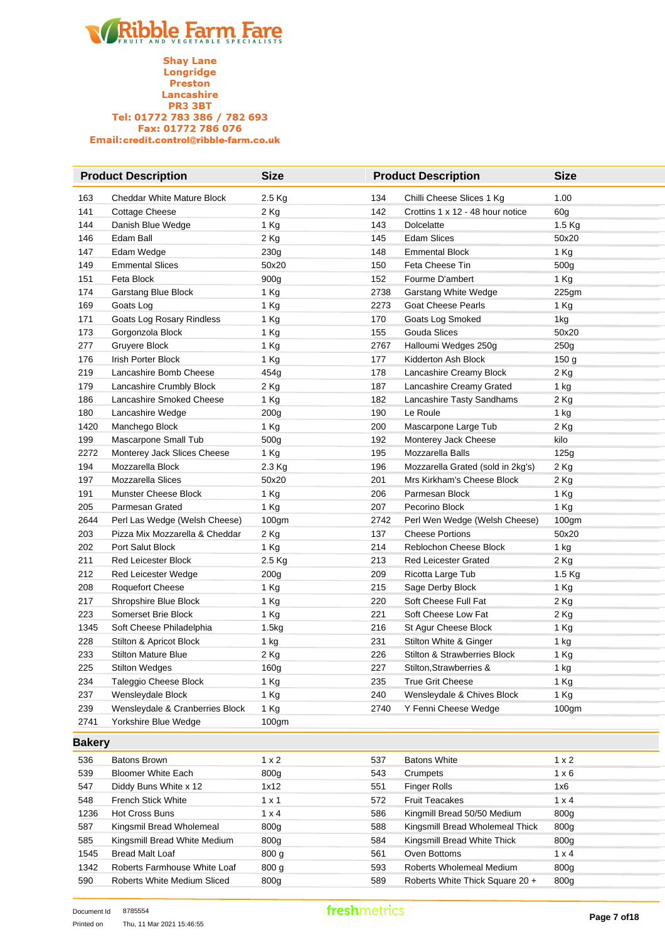**Shay Lane** Longridge Preston **Lancashire**<br>PR3 3BT Tel: 01772 783 386 / 782 693 Fax: 01772 786 076 Email:credit.control@ribble-farm.co.uk

|               | <b>Product Description</b>        | <b>Size</b>       |      | <b>Product Description</b>        | <b>Size</b>       |
|---------------|-----------------------------------|-------------------|------|-----------------------------------|-------------------|
| 163           | <b>Cheddar White Mature Block</b> | 2.5 Kg            | 134  | Chilli Cheese Slices 1 Kg         | 1.00              |
| 141           | <b>Cottage Cheese</b>             | 2 Kg              | 142  | Crottins 1 x 12 - 48 hour notice  | 60g               |
| 144           | Danish Blue Wedge                 | 1 Kg              | 143  | <b>Dolcelatte</b>                 | 1.5 Kg            |
| 146           | Edam Ball                         | 2 Kg              | 145  | <b>Edam Slices</b>                | 50x20             |
| 147           | Edam Wedge                        | 230g              | 148  | <b>Emmental Block</b>             | 1 Kg              |
| 149           | <b>Emmental Slices</b>            | 50x20             | 150  | Feta Cheese Tin                   | 500g              |
| 151           | Feta Block                        | 900g              | 152  | Fourme D'ambert                   | 1 Kg              |
| 174           | Garstang Blue Block               | 1 Kg              | 2738 | Garstang White Wedge              | 225gm             |
| 169           | Goats Log                         | 1 Kg              | 2273 | <b>Goat Cheese Pearls</b>         | 1 Kg              |
| 171           | Goats Log Rosary Rindless         | 1 Kg              | 170  | Goats Log Smoked                  | 1kg               |
| 173           | Gorgonzola Block                  | 1 Kg              | 155  | Gouda Slices                      | 50x20             |
| 277           | Gruyere Block                     | 1 Kg              | 2767 | Halloumi Wedges 250g              | 250 <sub>g</sub>  |
| 176           | Irish Porter Block                | 1 Kg              | 177  | Kidderton Ash Block               | 150 g             |
| 219           | Lancashire Bomb Cheese            | 454g              | 178  | Lancashire Creamy Block           | $2$ Kg            |
| 179           | Lancashire Crumbly Block          | 2 Kg              | 187  | Lancashire Creamy Grated          | 1 kg              |
| 186           | Lancashire Smoked Cheese          | 1 Kg              | 182  | Lancashire Tasty Sandhams         | 2 Kg              |
| 180           | Lancashire Wedge                  | 200g              | 190  | Le Roule                          | 1 kg              |
| 1420          | Manchego Block                    | 1 Kg              | 200  | Mascarpone Large Tub              | 2 Kg              |
| 199           | Mascarpone Small Tub              | 500g              | 192  | Monterey Jack Cheese              | kilo              |
| 2272          | Monterey Jack Slices Cheese       | 1 Kg              | 195  | Mozzarella Balls                  | 125g              |
| 194           | Mozzarella Block                  | 2.3 Kg            | 196  | Mozzarella Grated (sold in 2kg's) | 2 Kg              |
| 197           | Mozzarella Slices                 | 50x20             | 201  | Mrs Kirkham's Cheese Block        | 2 Kg              |
| 191           | Munster Cheese Block              | 1 Kg              | 206  | Parmesan Block                    | 1 Kg              |
| 205           | Parmesan Grated                   | 1 Kg              | 207  | Pecorino Block                    | 1 Kg              |
| 2644          | Perl Las Wedge (Welsh Cheese)     | 100 <sub>gm</sub> | 2742 | Perl Wen Wedge (Welsh Cheese)     | 100 <sub>gm</sub> |
| 203           | Pizza Mix Mozzarella & Cheddar    | 2 Kg              | 137  | <b>Cheese Portions</b>            | 50x20             |
| 202           | Port Salut Block                  | 1 Kg              | 214  | Reblochon Cheese Block            | 1 kg              |
| 211           | <b>Red Leicester Block</b>        | 2.5 Kg            | 213  | <b>Red Leicester Grated</b>       | $2$ Kg            |
| 212           | Red Leicester Wedge               | 200g              | 209  | Ricotta Large Tub                 | 1.5 Kg            |
| 208           | <b>Roquefort Cheese</b>           | 1 Kg              | 215  | Sage Derby Block                  | 1 Kg              |
| 217           | Shropshire Blue Block             | 1 Kg              | 220  | Soft Cheese Full Fat              | $2$ Kg            |
| 223           | Somerset Brie Block               | 1 Kg              | 221  | Soft Cheese Low Fat               | $2$ Kg            |
| 1345          | Soft Cheese Philadelphia          | 1.5kg             | 216  | St Agur Cheese Block              | 1 Kg              |
| 228           | Stilton & Apricot Block           | $1$ kg            | 231  | Stilton White & Ginger            | 1 kg              |
| 233           | <b>Stilton Mature Blue</b>        | 2 Kg              | 226  | Stilton & Strawberries Block      | 1 Kg              |
| 225           | <b>Stilton Wedges</b>             | 160g              | 227  | Stilton, Strawberries &           | $1$ kg            |
| 234           | Taleggio Cheese Block             | 1 Kg              | 235  | <b>True Grit Cheese</b>           | 1 Kg              |
| 237           | Wensleydale Block                 | 1 Kg              | 240  | Wensleydale & Chives Block        | 1 Kg              |
| 239           | Wensleydale & Cranberries Block   | 1 Kg              | 2740 | Y Fenni Cheese Wedge              | 100gm             |
| 2741          | Yorkshire Blue Wedge              | 100gm             |      |                                   |                   |
| <b>Bakery</b> |                                   |                   |      |                                   |                   |
| 536           | <b>Batons Brown</b>               | $1 \times 2$      | 537  | <b>Batons White</b>               | $1 \times 2$      |
| 539           | <b>Bloomer White Each</b>         | 800g              | 543  | Crumpets                          | $1 \times 6$      |
| 547           | Diddy Buns White x 12             | 1x12              | 551  | <b>Finger Rolls</b>               | 1x6               |
| 548           | French Stick White                | $1 \times 1$      | 572  | <b>Fruit Teacakes</b>             | $1 \times 4$      |
| 1236          | <b>Hot Cross Buns</b>             | $1 \times 4$      | 586  | Kingmill Bread 50/50 Medium       | 800g              |
| 587           | Kingsmil Bread Wholemeal          | 800g              | 588  | Kingsmill Bread Wholemeal Thick   | 800g              |
| 585           | Kingsmill Bread White Medium      | 800g              | 584  | Kingsmill Bread White Thick       | 800g              |
| 1545          | <b>Bread Malt Loaf</b>            | 800 g             | 561  | Oven Bottoms                      | $1 \times 4$      |
| 1342          | Roberts Farmhouse White Loaf      | 800 g             | 593  | Roberts Wholemeal Medium          | 800g              |
| 590           | Roberts White Medium Sliced       | 800g              | 589  | Roberts White Thick Square 20 +   | 800g              |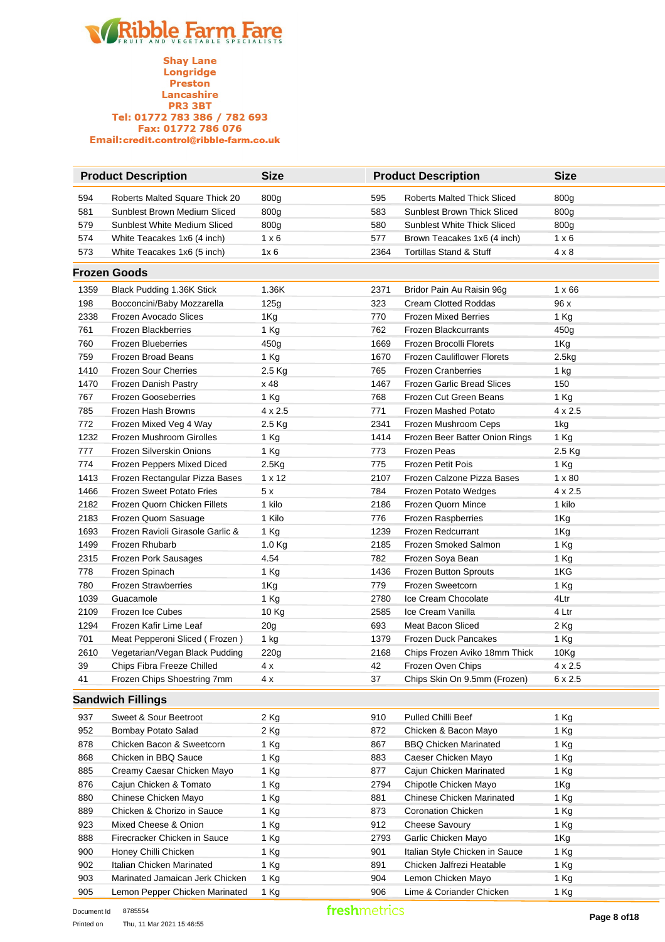**Shay Lane** Longridge Preston Lancashire **PR3 3BT** Tel: 01772 783 386 / 782 693 Fax: 01772 786 076 Email:credit.control@ribble-farm.co.uk

|      | <b>Product Description</b>       | <b>Size</b>    |      | <b>Product Description</b>         | <b>Size</b>   |
|------|----------------------------------|----------------|------|------------------------------------|---------------|
| 594  | Roberts Malted Square Thick 20   | 800g           | 595  | <b>Roberts Malted Thick Sliced</b> | 800g          |
| 581  | Sunblest Brown Medium Sliced     | 800g           | 583  | <b>Sunblest Brown Thick Sliced</b> | 800g          |
| 579  | Sunblest White Medium Sliced     | 800g           | 580  | <b>Sunblest White Thick Sliced</b> | 800g          |
| 574  | White Teacakes 1x6 (4 inch)      | $1 \times 6$   | 577  | Brown Teacakes 1x6 (4 inch)        | $1 \times 6$  |
| 573  | White Teacakes 1x6 (5 inch)      | 1x6            | 2364 | <b>Tortillas Stand &amp; Stuff</b> | $4 \times 8$  |
|      | <b>Frozen Goods</b>              |                |      |                                    |               |
| 1359 | Black Pudding 1.36K Stick        | 1.36K          | 2371 | Bridor Pain Au Raisin 96g          | $1 \times 66$ |
| 198  | Bocconcini/Baby Mozzarella       | 125g           | 323  | <b>Cream Clotted Roddas</b>        | 96 x          |
| 2338 | Frozen Avocado Slices            | 1Kg            | 770  | <b>Frozen Mixed Berries</b>        | 1 Kg          |
| 761  | <b>Frozen Blackberries</b>       | 1 Kg           | 762  | <b>Frozen Blackcurrants</b>        | 450g          |
| 760  | <b>Frozen Blueberries</b>        | 450g           | 1669 | Frozen Brocolli Florets            | 1Kg           |
| 759  | Frozen Broad Beans               | 1 Kg           | 1670 | <b>Frozen Cauliflower Florets</b>  | 2.5kg         |
| 1410 | Frozen Sour Cherries             | 2.5 Kg         | 765  | <b>Frozen Cranberries</b>          | 1 kg          |
| 1470 | Frozen Danish Pastry             | x 48           | 1467 | <b>Frozen Garlic Bread Slices</b>  | 150           |
| 767  | <b>Frozen Gooseberries</b>       | 1 Kg           | 768  | Frozen Cut Green Beans             | 1 Kg          |
| 785  | Frozen Hash Browns               | $4 \times 2.5$ | 771  | Frozen Mashed Potato               | 4 x 2.5       |
| 772  | Frozen Mixed Veg 4 Way           | 2.5 Kg         | 2341 | Frozen Mushroom Ceps               | 1kg           |
| 1232 | Frozen Mushroom Girolles         | 1 Kg           | 1414 | Frozen Beer Batter Onion Rings     | 1 Kg          |
| 777  | Frozen Silverskin Onions         | 1 Kg           | 773  | Frozen Peas                        | 2.5 Kg        |
| 774  | Frozen Peppers Mixed Diced       | 2.5Kg          | 775  | Frozen Petit Pois                  | 1 Kg          |
| 1413 | Frozen Rectangular Pizza Bases   | 1 x 12         | 2107 | Frozen Calzone Pizza Bases         | $1 \times 80$ |
| 1466 | <b>Frozen Sweet Potato Fries</b> | 5x             | 784  | Frozen Potato Wedges               | 4 x 2.5       |
| 2182 | Frozen Quorn Chicken Fillets     | 1 kilo         | 2186 | Frozen Quorn Mince                 | 1 kilo        |
| 2183 | Frozen Quorn Sasuage             | 1 Kilo         | 776  | Frozen Raspberries                 | 1Kg           |
| 1693 | Frozen Ravioli Girasole Garlic & | 1 Kg           | 1239 | Frozen Redcurrant                  | 1Kg           |
| 1499 | Frozen Rhubarb                   | 1.0 Kg         | 2185 | Frozen Smoked Salmon               | 1 Kg          |
| 2315 | Frozen Pork Sausages             | 4.54           | 782  | Frozen Soya Bean                   | 1 Kg          |
| 778  | Frozen Spinach                   | 1 Kg           | 1436 | Frozen Button Sprouts              | 1KG           |
| 780  | <b>Frozen Strawberries</b>       | 1Kg            | 779  | Frozen Sweetcorn                   | 1 Kg          |
| 1039 | Guacamole                        | 1 Kg           | 2780 | Ice Cream Chocolate                | 4Ltr          |
| 2109 | Frozen Ice Cubes                 | 10 Kg          | 2585 | Ice Cream Vanilla                  | 4 Ltr         |
| 1294 | Frozen Kafir Lime Leaf           | 20g            | 693  | Meat Bacon Sliced                  | 2 Kg          |
| 701  | Meat Pepperoni Sliced (Frozen)   | 1 kg           | 1379 | Frozen Duck Pancakes               | 1 Kg          |
| 2610 | Vegetarian/Vegan Black Pudding   | 220g           | 2168 | Chips Frozen Aviko 18mm Thick      | 10Kg          |
| 39   | Chips Fibra Freeze Chilled       | 4 x            | 42   | Frozen Oven Chips                  | 4 x 2.5       |
| 41   | Frozen Chips Shoestring 7mm      | 4 x            | 37   | Chips Skin On 9.5mm (Frozen)       | 6 x 2.5       |
|      | <b>Sandwich Fillings</b>         |                |      |                                    |               |
| 937  | Sweet & Sour Beetroot            | 2 Kg           | 910  | Pulled Chilli Beef                 | 1 Kg          |
| 952  | Bombay Potato Salad              | 2 Kg           | 872  | Chicken & Bacon Mayo               | 1 Kg          |
| 878  | Chicken Bacon & Sweetcorn        | 1 Kg           | 867  | <b>BBQ Chicken Marinated</b>       | 1 Kg          |
| 868  | Chicken in BBQ Sauce             | 1 Kg           | 883  | Caeser Chicken Mayo                | 1 Kg          |
| 885  | Creamy Caesar Chicken Mayo       | 1 Kg           | 877  | Cajun Chicken Marinated            | 1 Kg          |
| 876  | Cajun Chicken & Tomato           | 1 Kg           | 2794 | Chipotle Chicken Mayo              | 1Kg           |
| 880  | Chinese Chicken Mayo             | 1 Kg           | 881  | Chinese Chicken Marinated          | 1 Kg          |
| 889  | Chicken & Chorizo in Sauce       | 1 Kg           | 873  | Coronation Chicken                 | 1 Kg          |
| 923  | Mixed Cheese & Onion             | 1 Kg           | 912  | Cheese Savoury                     | 1 Kg          |
| 888  | Firecracker Chicken in Sauce     | 1 Kg           | 2793 | Garlic Chicken Mayo                | 1Kg           |
| 900  | Honey Chilli Chicken             | 1 Kg           | 901  | Italian Style Chicken in Sauce     | 1 Kg          |
| 902  | Italian Chicken Marinated        | 1 Kg           | 891  | Chicken Jalfrezi Heatable          | 1 Kg          |

903 Marinated Jamaican Jerk Chicken 1 Kg 1904 Lemon Chicken Mayo 1 Kg 905 Lemon Pepper Chicken Marinated 1 Kg 1906 Lime & Coriander Chicken 1 Kg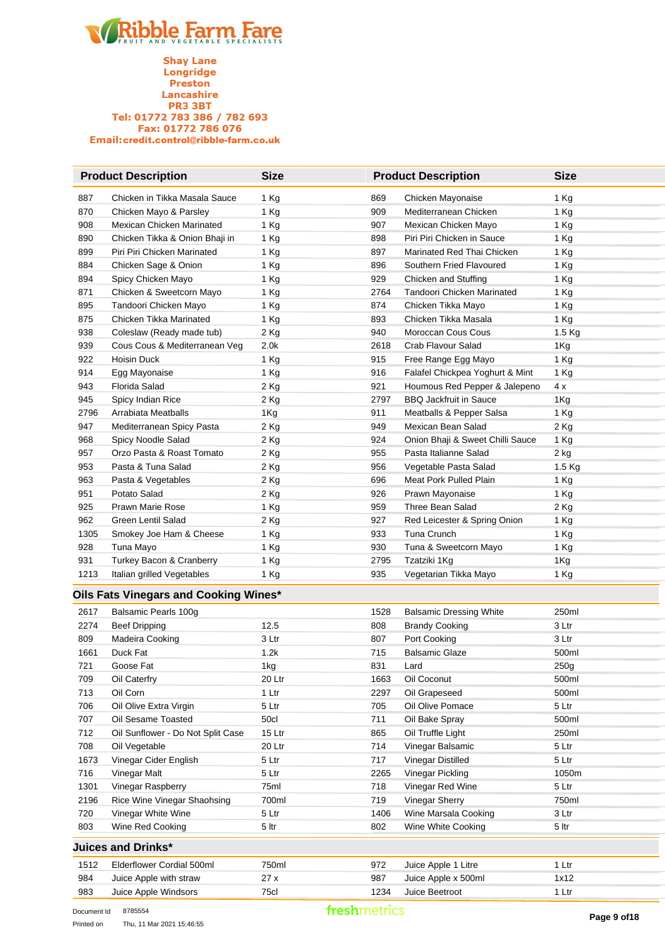**Shay Lane**<br>Longridge Preston Lancashire<br>PR3 3BT Tel: 01772 783 386 / 782 693<br>Fax: 01772 786 076 Email:credit.control@ribble-farm.co.uk

|      | <b>Product Description</b>            | <b>Size</b>      |      | <b>Product Description</b>       | <b>Size</b> |
|------|---------------------------------------|------------------|------|----------------------------------|-------------|
| 887  | Chicken in Tikka Masala Sauce         | 1 Kg             | 869  | Chicken Mayonaise                | 1 Kg        |
| 870  | Chicken Mayo & Parsley                | 1 Kg             | 909  | Mediterranean Chicken            | 1 Kg        |
| 908  | Mexican Chicken Marinated             | 1 Kg             | 907  | Mexican Chicken Mayo             | 1 Kg        |
| 890  | Chicken Tikka & Onion Bhaji in        | 1 Kg             | 898  | Piri Piri Chicken in Sauce       | 1 Kg        |
| 899  | Piri Piri Chicken Marinated           | 1 Kg             | 897  | Marinated Red Thai Chicken       | 1 Kg        |
| 884  | Chicken Sage & Onion                  | 1 Kg             | 896  | Southern Fried Flavoured         | 1 Kg        |
| 894  | Spicy Chicken Mayo                    | 1 Kg             | 929  | Chicken and Stuffing             | 1 Kg        |
| 871  | Chicken & Sweetcorn Mayo              | 1 Kg             | 2764 | Tandoori Chicken Marinated       | 1 Kg        |
| 895  | Tandoori Chicken Mayo                 | 1 Kg             | 874  | Chicken Tikka Mayo               | 1 Kg        |
| 875  | Chicken Tikka Marinated               | 1 Kg             | 893  | Chicken Tikka Masala             | 1 Kg        |
| 938  | Coleslaw (Ready made tub)             | 2 Kg             | 940  | Moroccan Cous Cous               | 1.5 Kg      |
| 939  | Cous Cous & Mediterranean Veg         | 2.0 <sub>k</sub> | 2618 | Crab Flavour Salad               | 1Kg         |
| 922  | Hoisin Duck                           | 1 Kg             | 915  | Free Range Egg Mayo              | 1 Kg        |
| 914  | Egg Mayonaise                         | 1 Kg             | 916  | Falafel Chickpea Yoghurt & Mint  | 1 Kg        |
| 943  | Florida Salad                         | 2 Kg             | 921  | Houmous Red Pepper & Jalepeno    | 4 x         |
| 945  | Spicy Indian Rice                     | 2 Kg             | 2797 | <b>BBQ Jackfruit in Sauce</b>    | 1Kg         |
| 2796 | Arrabiata Meatballs                   | 1Kg              | 911  | Meatballs & Pepper Salsa         | 1 Kg        |
| 947  | Mediterranean Spicy Pasta             | 2 Kg             | 949  | Mexican Bean Salad               | 2 Kg        |
| 968  | Spicy Noodle Salad                    | 2 Kg             | 924  | Onion Bhaji & Sweet Chilli Sauce | 1 Kg        |
| 957  | Orzo Pasta & Roast Tomato             | 2 Kg             | 955  | Pasta Italianne Salad            | $2$ kg      |
| 953  | Pasta & Tuna Salad                    | 2 Kg             | 956  | Vegetable Pasta Salad            | 1.5 Kg      |
| 963  | Pasta & Vegetables                    | 2 Kg             | 696  | Meat Pork Pulled Plain           | 1 Kg        |
| 951  | Potato Salad                          | 2 Kg             | 926  | Prawn Mayonaise                  | 1 Kg        |
| 925  | Prawn Marie Rose                      | 1 Kg             | 959  | Three Bean Salad                 | 2 Kg        |
| 962  | Green Lentil Salad                    | 2 Kg             | 927  | Red Leicester & Spring Onion     | 1 Kg        |
| 1305 | Smokey Joe Ham & Cheese               | 1 Kg             | 933  | Tuna Crunch                      | 1 Kg        |
| 928  | Tuna Mayo                             | 1 Kg             | 930  | Tuna & Sweetcorn Mayo            | 1 Kg        |
| 931  | Turkey Bacon & Cranberry              | 1 Kg             | 2795 | Tzatziki 1Kg                     | 1Kg         |
| 1213 | Italian grilled Vegetables            | 1 Kg             | 935  | Vegetarian Tikka Mayo            | 1 Kg        |
|      |                                       |                  |      |                                  |             |
|      | Oils Fats Vinegars and Cooking Wines* |                  |      |                                  |             |
| 2617 | Balsamic Pearls 100g                  |                  | 1528 | <b>Balsamic Dressing White</b>   | 250ml       |
| 2274 | <b>Beef Dripping</b>                  | 12.5             | 808  | <b>Brandy Cooking</b>            | 3 Ltr       |
| 809  | Madeira Cooking                       | 3 Ltr            | 807  | Port Cooking                     | 3 Ltr       |
| 1661 | Duck Fat                              | 1.2k             | 715  | <b>Balsamic Glaze</b>            | 500ml       |
| 721  | Goose Fat                             | 1kg              | 831  | Lard                             | 250g        |
| 709  | Oil Caterfry                          | 20 Ltr           | 1663 | Oil Coconut                      | 500ml       |
| 713  | Oil Corn                              | 1 Ltr            | 2297 | Oil Grapeseed                    | 500ml       |
| 706  | Oil Olive Extra Virgin                | 5 Ltr            | 705  | Oil Olive Pomace                 | 5 Ltr       |
| 707  | Oil Sesame Toasted                    | 50cl             | 711  | Oil Bake Spray                   | 500ml       |
| 712  | Oil Sunflower - Do Not Split Case     | 15 Ltr           | 865  | Oil Truffle Light                | 250ml       |
| 708  | Oil Vegetable                         | 20 Ltr           | 714  | Vinegar Balsamic                 | 5 Ltr       |
| 1673 | Vinegar Cider English                 | 5 Ltr            | 717  | Vinegar Distilled                | 5 Ltr       |
| 716  | Vinegar Malt                          | 5 Ltr            | 2265 | Vinegar Pickling                 | 1050m       |
| 1301 | Vinegar Raspberry                     | 75ml             | 718  | Vinegar Red Wine                 | 5 Ltr       |
| 2196 | Rice Wine Vinegar Shaohsing           | 700ml            | 719  | Vinegar Sherry                   | 750ml       |
| 720  | Vinegar White Wine                    | 5 Ltr            | 1406 | Wine Marsala Cooking             | 3 Ltr       |
| 803  | Wine Red Cooking                      | 5 ltr            | 802  | Wine White Cooking               | 5 ltr       |
|      | <b>Juices and Drinks*</b>             |                  |      |                                  |             |
| 1512 | Elderflower Cordial 500ml             | 750ml            | 972  | Juice Apple 1 Litre              | 1 Ltr       |
| 984  | Juice Apple with straw                | 27x              | 987  | Juice Apple x 500ml              | 1x12        |
| 983  | Juice Apple Windsors                  | 75cl             | 1234 | Juice Beetroot                   | 1 Ltr       |
|      |                                       |                  |      |                                  |             |

Document Id 8785554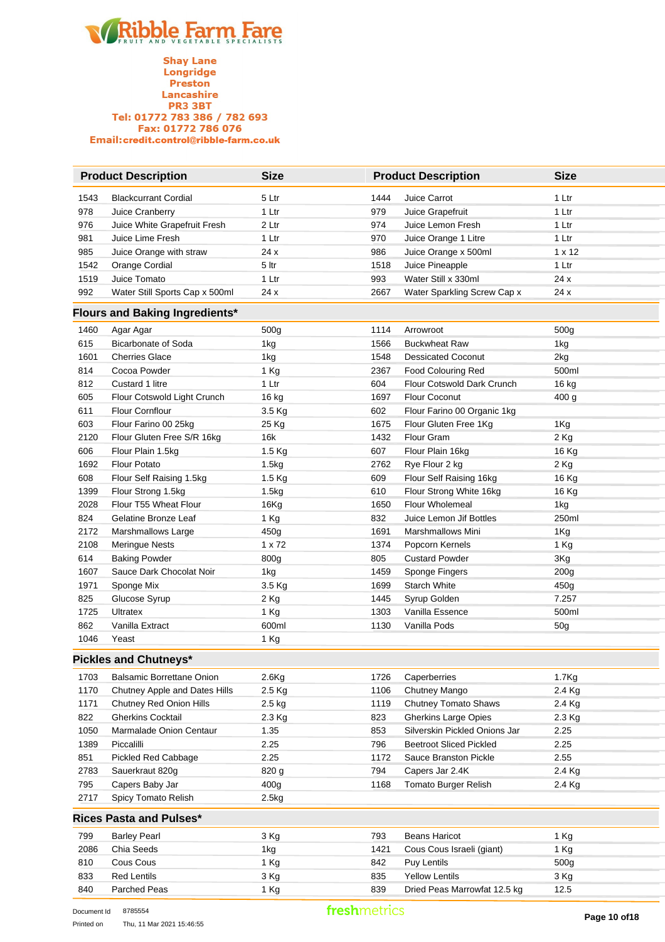**Shay Lane** Longridge Preston Lancashire **PR3 3BT** Tel: 01772 783 386 / 782 693 Fax: 01772 786 076 Email:credit.control@ribble-farm.co.uk

| <b>Product Description</b> |                                | <b>Size</b> | <b>Product Description</b> |                             | <b>Size</b>   |
|----------------------------|--------------------------------|-------------|----------------------------|-----------------------------|---------------|
| 1543                       | <b>Blackcurrant Cordial</b>    | 5 Ltr       | 1444                       | Juice Carrot                | 1 Ltr         |
| 978                        | Juice Cranberry                | 1 Ltr       | 979                        | Juice Grapefruit            | 1 Ltr         |
| 976                        | Juice White Grapefruit Fresh   | 2 Ltr       | 974                        | Juice Lemon Fresh           | 1 Ltr         |
| 981                        | Juice Lime Fresh               | 1 Ltr       | 970                        | Juice Orange 1 Litre        | 1 Ltr         |
| 985                        | Juice Orange with straw        | 24x         | 986                        | Juice Orange x 500ml        | $1 \times 12$ |
| 1542                       | Orange Cordial                 | 5 ltr       | 1518                       | Juice Pineapple             | 1 Ltr         |
| 1519                       | Juice Tomato                   | 1 Ltr       | 993                        | Water Still x 330ml         | 24x           |
| 992                        | Water Still Sports Cap x 500ml | 24x         | 2667                       | Water Sparkling Screw Cap x | 24x           |

#### **Flours and Baking Ingredients\***

| 1460 | Agar Agar                    | 500g               | 1114 | Arrowroot                   | 500g             |  |  |  |
|------|------------------------------|--------------------|------|-----------------------------|------------------|--|--|--|
| 615  | <b>Bicarbonate of Soda</b>   | 1kg                | 1566 | <b>Buckwheat Raw</b>        | 1kg              |  |  |  |
| 1601 | <b>Cherries Glace</b>        | 1kg                | 1548 | <b>Dessicated Coconut</b>   | 2kg              |  |  |  |
| 814  | Cocoa Powder                 | 1 Kg               | 2367 | <b>Food Colouring Red</b>   | 500ml            |  |  |  |
| 812  | Custard 1 litre              | 1 Ltr              | 604  | Flour Cotswold Dark Crunch  | 16 kg            |  |  |  |
| 605  | Flour Cotswold Light Crunch  | 16 kg              | 1697 | <b>Flour Coconut</b>        | 400q             |  |  |  |
| 611  | <b>Flour Cornflour</b>       | 3.5 Kg             | 602  | Flour Farino 00 Organic 1kg |                  |  |  |  |
| 603  | Flour Farino 00 25kg         | 25 Kg              | 1675 | Flour Gluten Free 1Kg       | 1Kg              |  |  |  |
| 2120 | Flour Gluten Free S/R 16kg   | 16k                | 1432 | Flour Gram                  | $2$ Kg           |  |  |  |
| 606  | Flour Plain 1.5kg            | 1.5 Kg             | 607  | Flour Plain 16kg            | 16 Kg            |  |  |  |
| 1692 | <b>Flour Potato</b>          | 1.5 <sub>k</sub> g | 2762 | Rye Flour 2 kg              | $2$ Kg           |  |  |  |
| 608  | Flour Self Raising 1.5kg     | $1.5$ Kg           | 609  | Flour Self Raising 16kg     | 16 Kg            |  |  |  |
| 1399 | Flour Strong 1.5kg           | 1.5kg              | 610  | Flour Strong White 16kg     | 16 Kg            |  |  |  |
| 2028 | Flour T55 Wheat Flour        | 16Kg               | 1650 | <b>Flour Wholemeal</b>      | 1kg              |  |  |  |
| 824  | Gelatine Bronze Leaf         | $1$ Kg             | 832  | Juice Lemon Jif Bottles     | 250ml            |  |  |  |
| 2172 | Marshmallows Large           | 450g               | 1691 | <b>Marshmallows Mini</b>    | 1Kg              |  |  |  |
| 2108 | <b>Meringue Nests</b>        | $1 \times 72$      | 1374 | Popcorn Kernels             | 1 Kg             |  |  |  |
| 614  | <b>Baking Powder</b>         | 800g               | 805  | <b>Custard Powder</b>       | 3Kg              |  |  |  |
| 1607 | Sauce Dark Chocolat Noir     | 1kg                | 1459 | Sponge Fingers              | 200 <sub>g</sub> |  |  |  |
| 1971 | Sponge Mix                   | 3.5 Kg             | 1699 | <b>Starch White</b>         | 450 <sub>g</sub> |  |  |  |
| 825  | Glucose Syrup                | 2 Kg               | 1445 | Syrup Golden                | 7.257            |  |  |  |
| 1725 | <b>Ultratex</b>              | $1$ Kg             | 1303 | Vanilla Essence             | 500ml            |  |  |  |
| 862  | Vanilla Extract              | 600ml              | 1130 | Vanilla Pods                | 50 <sub>g</sub>  |  |  |  |
| 1046 | Yeast                        | 1 Kg               |      |                             |                  |  |  |  |
|      | <b>Pickles and Chutneys*</b> |                    |      |                             |                  |  |  |  |

#### **Pickles and Chutneys\***

| 1703 | <b>Balsamic Borrettane Onion</b> | $2.6$ Kg          | 1726 | Caperberries                   | 1.7 <sub>Kg</sub> |
|------|----------------------------------|-------------------|------|--------------------------------|-------------------|
| 1170 | Chutney Apple and Dates Hills    | $2.5$ Kg          | 1106 | Chutney Mango                  | $2.4$ Kg          |
| 1171 | Chutney Red Onion Hills          | $2.5$ kg          | 1119 | <b>Chutney Tomato Shaws</b>    | $2.4$ Kg          |
| 822  | <b>Gherkins Cocktail</b>         | $2.3$ Kg          | 823  | <b>Gherkins Large Opies</b>    | $2.3$ Kg          |
| 1050 | Marmalade Onion Centaur          | 1.35              | 853  | Silverskin Pickled Onions Jar  | 2.25              |
| 1389 | Piccalilli                       | 2.25              | 796  | <b>Beetroot Sliced Pickled</b> | 2.25              |
| 851  | Pickled Red Cabbage              | 2.25              | 1172 | Sauce Branston Pickle          | 2.55              |
| 2783 | Sauerkraut 820g                  | 820 g             | 794  | Capers Jar 2.4K                | $2.4$ Kg          |
| 795  | Capers Baby Jar                  | 400 <sub>g</sub>  | 1168 | Tomato Burger Relish           | $2.4$ Kg          |
| 2717 | Spicy Tomato Relish              | 2.5 <sub>kq</sub> |      |                                |                   |
|      |                                  |                   |      |                                |                   |

#### **Rices Pasta and Pulses\***

| 2717 | Spicy Tomato Relish     | 2.5kg |      |                              |      |
|------|-------------------------|-------|------|------------------------------|------|
|      | Rices Pasta and Pulses* |       |      |                              |      |
| 799  | <b>Barley Pearl</b>     | 3 Kg  | 793  | Beans Haricot                | 1 Kg |
| 2086 | Chia Seeds              | 1kg   | 1421 | Cous Cous Israeli (giant)    | 1 Kg |
| 810  | Cous Cous               | 1 Kg  | 842  | Puy Lentils                  | 500g |
| 833  | <b>Red Lentils</b>      | 3 Kg  | 835  | <b>Yellow Lentils</b>        | 3 Kg |
| 840  | Parched Peas            | 1 Kg  | 839  | Dried Peas Marrowfat 12.5 kg | 12.5 |

 $\overline{\phantom{0}}$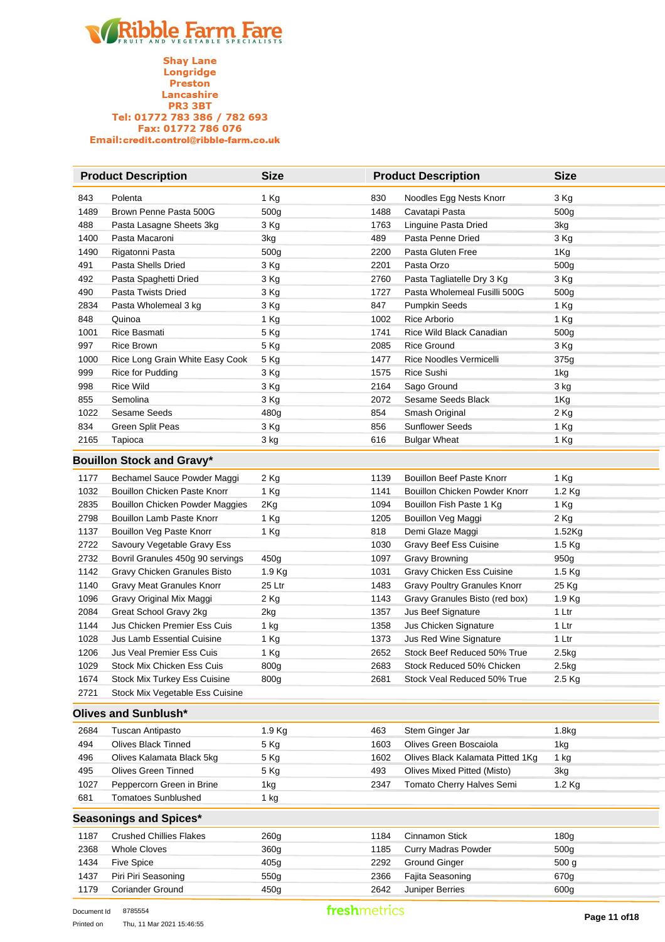**Shay Lane** Longridge Preston Lancashire **PR3 3BT** Tel: 01772 783 386 / 782 693 Fax: 01772 786 076 Email:credit.control@ribble-farm.co.uk

|      | <b>Product Description</b>       | <b>Size</b>      |      | <b>Product Description</b>   | <b>Size</b>      |  |  |  |
|------|----------------------------------|------------------|------|------------------------------|------------------|--|--|--|
| 843  | Polenta                          | 1 Kg             | 830  | Noodles Egg Nests Knorr      | 3 Kg             |  |  |  |
| 1489 | Brown Penne Pasta 500G           | 500 <sub>g</sub> | 1488 | Cavatapi Pasta               | 500 <sub>g</sub> |  |  |  |
| 488  | Pasta Lasagne Sheets 3kg         | 3 Kg             | 1763 | Linguine Pasta Dried         | 3kg              |  |  |  |
| 1400 | Pasta Macaroni                   | 3kg              | 489  | Pasta Penne Dried            | 3 Kg             |  |  |  |
| 1490 | Rigatonni Pasta                  | 500 <sub>g</sub> | 2200 | Pasta Gluten Free            | 1Kg              |  |  |  |
| 491  | Pasta Shells Dried               | 3 Kg             | 2201 | Pasta Orzo                   | 500 <sub>g</sub> |  |  |  |
| 492  | Pasta Spaghetti Dried            | 3 Kg             | 2760 | Pasta Tagliatelle Dry 3 Kg   | 3 Kg             |  |  |  |
| 490  | Pasta Twists Dried               | 3 Kg             | 1727 | Pasta Wholemeal Fusilli 500G | 500 <sub>g</sub> |  |  |  |
| 2834 | Pasta Wholemeal 3 kg             | 3 Kg             | 847  | <b>Pumpkin Seeds</b>         | 1 Kg             |  |  |  |
| 848  | Quinoa                           | 1 Kg             | 1002 | Rice Arborio                 | 1 Kg             |  |  |  |
| 1001 | Rice Basmati                     | 5 Kg             | 1741 | Rice Wild Black Canadian     | 500 <sub>g</sub> |  |  |  |
| 997  | Rice Brown                       | 5 Kg             | 2085 | <b>Rice Ground</b>           | 3 Kg             |  |  |  |
| 1000 | Rice Long Grain White Easy Cook  | 5 Kg             | 1477 | Rice Noodles Vermicelli      | 375g             |  |  |  |
| 999  | Rice for Pudding                 | 3 Kg             | 1575 | Rice Sushi                   | 1kg              |  |  |  |
| 998  | <b>Rice Wild</b>                 | 3 Kg             | 2164 | Sago Ground                  | 3 kg             |  |  |  |
| 855  | Semolina                         | 3 Kg             | 2072 | Sesame Seeds Black           | 1Kg              |  |  |  |
| 1022 | Sesame Seeds                     | 480g             | 854  | Smash Original               | 2 Kg             |  |  |  |
| 834  | Green Split Peas                 | 3 Kg             | 856  | <b>Sunflower Seeds</b>       | 1 Kg             |  |  |  |
| 2165 | Tapioca                          | 3 kg             | 616  | <b>Bulgar Wheat</b>          | 1 Kg             |  |  |  |
|      | <b>Bouillon Stock and Gravy*</b> |                  |      |                              |                  |  |  |  |

#### **Bouillon Stock and Gravy\***

| 1177 | Bechamel Sauce Powder Maggi         | 2 Kg             | 1139 | <b>Bouillon Beef Paste Knorr</b>    | 1 Ka             |
|------|-------------------------------------|------------------|------|-------------------------------------|------------------|
| 1032 | Bouillon Chicken Paste Knorr        | 1 Kg             | 1141 | Bouillon Chicken Powder Knorr       | $1.2$ Kg         |
| 2835 | Bouillon Chicken Powder Maggies     | 2Kg              | 1094 | Bouillon Fish Paste 1 Kg            | 1 Kg             |
| 2798 | Bouillon Lamb Paste Knorr           | 1 Kg             | 1205 | Bouillon Veg Maggi                  | 2 Kg             |
| 1137 | Bouillon Veg Paste Knorr            | 1 Kg             | 818  | Demi Glaze Maggi                    | $1.52$ Kg        |
| 2722 | Savoury Vegetable Gravy Ess         |                  | 1030 | Gravy Beef Ess Cuisine              | $1.5$ Kg         |
| 2732 | Bovril Granules 450g 90 servings    | 450g             | 1097 | Gravy Browning                      | 950 <sub>g</sub> |
| 1142 | Gravy Chicken Granules Bisto        | $1.9$ Kg         | 1031 | Gravy Chicken Ess Cuisine           | $1.5$ Kg         |
| 1140 | Gravy Meat Granules Knorr           | 25 Ltr           | 1483 | <b>Gravy Poultry Granules Knorr</b> | 25 Kg            |
| 1096 | Gravy Original Mix Maggi            | $2$ Kg           | 1143 | Gravy Granules Bisto (red box)      | $1.9$ Kg         |
| 2084 | Great School Gravy 2kg              | 2kg              | 1357 | <b>Jus Beef Signature</b>           | 1 Ltr            |
| 1144 | Jus Chicken Premier Ess Cuis        | 1 kg             | 1358 | Jus Chicken Signature               | 1 Ltr            |
| 1028 | Jus Lamb Essential Cuisine          | 1 Kg             | 1373 | <b>Jus Red Wine Signature</b>       | 1 Ltr            |
| 1206 | Jus Veal Premier Ess Cuis           | 1 Kg             | 2652 | Stock Beef Reduced 50% True         | 2.5kg            |
| 1029 | Stock Mix Chicken Ess Cuis          | 800g             | 2683 | Stock Reduced 50% Chicken           | 2.5kg            |
| 1674 | <b>Stock Mix Turkey Ess Cuisine</b> | 800 <sub>g</sub> | 2681 | Stock Veal Reduced 50% True         | $2.5$ Kg         |
| 2721 | Stock Mix Vegetable Ess Cuisine     |                  |      |                                     |                  |

#### **Olives and Sunblush\***

| 2684 | Tuscan Antipasto           | $1.9$ Kg | 463  | Stem Ginger Jar                  | 1.8kg    |
|------|----------------------------|----------|------|----------------------------------|----------|
| 494  | Olives Black Tinned        | 5 Kg     | 1603 | Olives Green Boscaiola           | 1kg      |
| 496  | Olives Kalamata Black 5kg  | 5 Kg     | 1602 | Olives Black Kalamata Pitted 1Kg | 1 kg     |
| 495  | Olives Green Tinned        | 5 Kg     | 493  | Olives Mixed Pitted (Misto)      | 3kg      |
| 1027 | Peppercorn Green in Brine  | 1kg      | 2347 | Tomato Cherry Halves Semi        | $1.2$ Kg |
| 681  | <b>Tomatoes Sunblushed</b> | 1 kg     |      |                                  |          |

#### **Seasonings and Spices\***

|      | ocasonings and opices          |                  |      |                            |                  |  |  |  |  |
|------|--------------------------------|------------------|------|----------------------------|------------------|--|--|--|--|
| 1187 | <b>Crushed Chillies Flakes</b> | 260g             | 1184 | Cinnamon Stick             | 180g             |  |  |  |  |
| 2368 | Whole Cloves                   | 360 <sub>g</sub> | 1185 | <b>Curry Madras Powder</b> | 500 <sub>g</sub> |  |  |  |  |
| 1434 | Five Spice                     | 405g             | 2292 | <b>Ground Ginger</b>       | 500 <sub>g</sub> |  |  |  |  |
| 1437 | Piri Piri Seasoning            | 550g             | 2366 | Fajita Seasoning           | 670g             |  |  |  |  |
| 1179 | <b>Coriander Ground</b>        | 450g             | 2642 | Juniper Berries            | 600g             |  |  |  |  |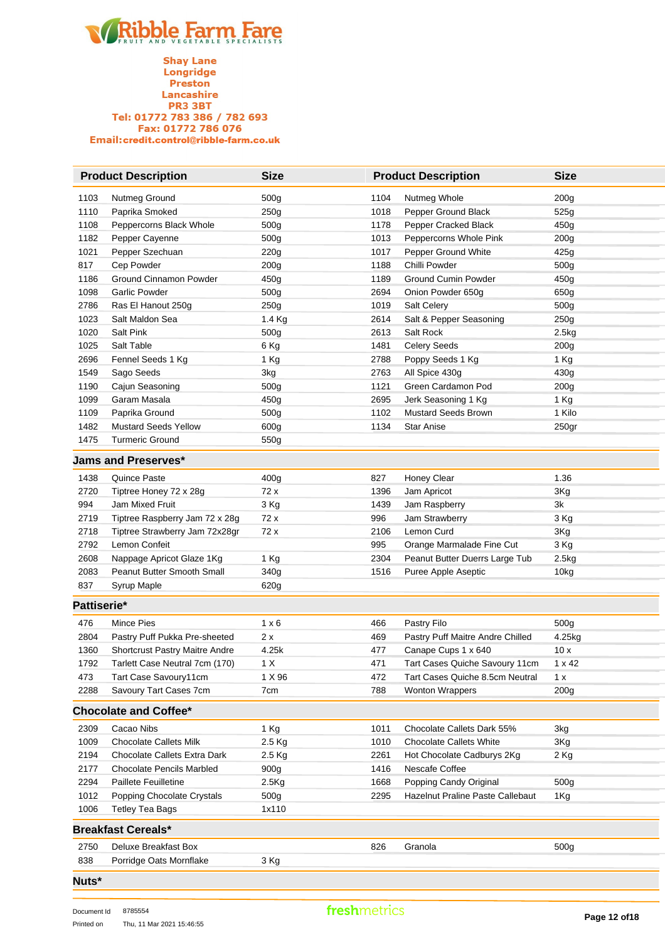

**Shay Lane**<br>Longridge Preston Lancashire<br>PR3 3BT Tel: 01772 783 386 / 782 693<br>Fax: 01772 786 076 Email:credit.control@ribble-farm.co.uk

|             | <b>Product Description</b>       | <b>Size</b>      |      | <b>Product Description</b>       | <b>Size</b>       |
|-------------|----------------------------------|------------------|------|----------------------------------|-------------------|
| 1103        | Nutmeg Ground                    | 500g             | 1104 | Nutmeg Whole                     | 200g              |
| 1110        | Paprika Smoked                   | 250g             | 1018 | Pepper Ground Black              | 525g              |
| 1108        | Peppercorns Black Whole          | 500g             | 1178 | Pepper Cracked Black             | 450g              |
| 1182        | Pepper Cayenne                   | 500g             | 1013 | Peppercorns Whole Pink           | 200 <sub>g</sub>  |
| 1021        | Pepper Szechuan                  | 220g             | 1017 | Pepper Ground White              | 425g              |
| 817         | Cep Powder                       | 200 <sub>g</sub> | 1188 | Chilli Powder                    | 500g              |
| 1186        | Ground Cinnamon Powder           | 450g             | 1189 | <b>Ground Cumin Powder</b>       | 450g              |
| 1098        | <b>Garlic Powder</b>             | 500g             | 2694 | Onion Powder 650g                | 650g              |
| 2786        | Ras El Hanout 250g               | 250g             | 1019 | Salt Celery                      | 500g              |
| 1023        | Salt Maldon Sea                  | 1.4 Kg           | 2614 | Salt & Pepper Seasoning          | 250g              |
| 1020        | Salt Pink                        | 500g             | 2613 | Salt Rock                        | 2.5kg             |
| 1025        | Salt Table                       | 6 Kg             | 1481 | <b>Celery Seeds</b>              | 200 <sub>g</sub>  |
| 2696        | Fennel Seeds 1 Kg                | 1 Kg             | 2788 | Poppy Seeds 1 Kg                 | 1 Kg              |
| 1549        | Sago Seeds                       | 3kg              | 2763 | All Spice 430g                   | 430g              |
| 1190        | Cajun Seasoning                  | 500g             | 1121 | Green Cardamon Pod               | 200 <sub>g</sub>  |
| 1099        | Garam Masala                     | 450g             | 2695 | Jerk Seasoning 1 Kg              | 1 Kg              |
| 1109        | Paprika Ground                   | 500g             | 1102 | <b>Mustard Seeds Brown</b>       | 1 Kilo            |
| 1482        | <b>Mustard Seeds Yellow</b>      | 600g             | 1134 | <b>Star Anise</b>                | 250 <sub>gr</sub> |
| 1475        | <b>Turmeric Ground</b>           | 550g             |      |                                  |                   |
|             | <b>Jams and Preserves*</b>       |                  |      |                                  |                   |
| 1438        | <b>Quince Paste</b>              | 400g             | 827  | Honey Clear                      | 1.36              |
| 2720        | Tiptree Honey 72 x 28g           | 72 x             | 1396 | Jam Apricot                      | 3Kg               |
| 994         | Jam Mixed Fruit                  | 3 Kg             | 1439 | Jam Raspberry                    | 3k                |
| 2719        | Tiptree Raspberry Jam 72 x 28g   | 72 x             | 996  | Jam Strawberry                   | 3 Kg              |
| 2718        | Tiptree Strawberry Jam 72x28gr   | 72 x             | 2106 | Lemon Curd                       | 3Kg               |
| 2792        | Lemon Confeit                    |                  | 995  | Orange Marmalade Fine Cut        | 3 Kg              |
| 2608        | Nappage Apricot Glaze 1Kg        | 1 Kg             | 2304 | Peanut Butter Duerrs Large Tub   | 2.5kg             |
| 2083        | Peanut Butter Smooth Small       | 340g             | 1516 | Puree Apple Aseptic              | 10kg              |
| 837         | Syrup Maple                      | 620g             |      |                                  |                   |
| Pattiserie* |                                  |                  |      |                                  |                   |
| 476         | Mince Pies                       | $1 \times 6$     | 466  | Pastry Filo                      | 500g              |
| 2804        | Pastry Puff Pukka Pre-sheeted    | 2 x              | 469  | Pastry Puff Maitre Andre Chilled | 4.25kg            |
| 1360        | Shortcrust Pastry Maitre Andre   | 4.25k            | 477  | Canape Cups 1 x 640              | 10x               |
| 1792        | Tarlett Case Neutral 7cm (170)   | 1 X              | 471  | Tart Cases Quiche Savoury 11cm   | 1 x 42            |
| 473         | Tart Case Savoury11cm            | 1 X 96           | 472  | Tart Cases Quiche 8.5cm Neutral  | 1 x               |
| 2288        | Savoury Tart Cases 7cm           | 7cm              | 788  | <b>Wonton Wrappers</b>           | 200g              |
|             | <b>Chocolate and Coffee*</b>     |                  |      |                                  |                   |
| 2309        | Cacao Nibs                       | 1 Kg             | 1011 | Chocolate Callets Dark 55%       | 3kg               |
| 1009        | <b>Chocolate Callets Milk</b>    | 2.5 Kg           | 1010 | <b>Chocolate Callets White</b>   | 3Kg               |
| 2194        | Chocolate Callets Extra Dark     | 2.5 Kg           | 2261 | Hot Chocolate Cadburys 2Kg       | 2 Kg              |
| 2177        | <b>Chocolate Pencils Marbled</b> | 900g             | 1416 | Nescafe Coffee                   |                   |
| 2294        | Paillete Feuilletine             | 2.5Kg            | 1668 | Popping Candy Original           | 500g              |
| 1012        | Popping Chocolate Crystals       | 500g             | 2295 | Hazelnut Praline Paste Callebaut | 1Kg               |
| 1006        | <b>Tetley Tea Bags</b>           | 1x110            |      |                                  |                   |
|             | <b>Breakfast Cereals*</b>        |                  |      |                                  |                   |
| 2750        | Deluxe Breakfast Box             |                  | 826  | Granola                          | 500g              |
| 838         | Porridge Oats Mornflake          | 3 Kg             |      |                                  |                   |
|             |                                  |                  |      |                                  |                   |

**Nuts\***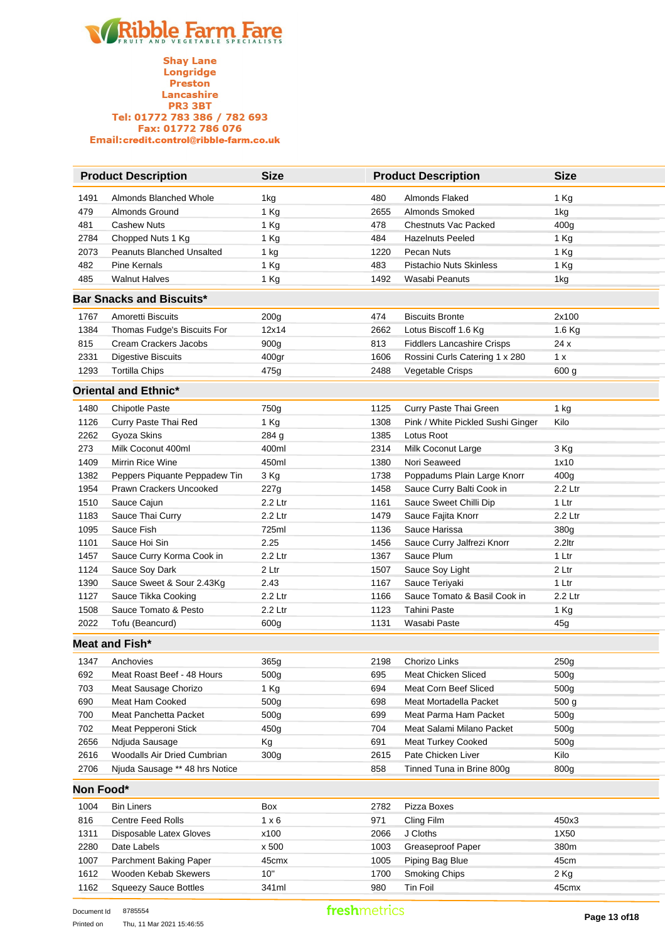

|           | <b>Product Description</b>       | <b>Size</b>      |      | <b>Product Description</b>        | <b>Size</b>      |
|-----------|----------------------------------|------------------|------|-----------------------------------|------------------|
| 1491      | Almonds Blanched Whole           | 1kg              | 480  | Almonds Flaked                    | 1 Kg             |
| 479       | <b>Almonds Ground</b>            | 1 Kg             | 2655 | Almonds Smoked                    | 1kg              |
| 481       | <b>Cashew Nuts</b>               | 1 Kg             | 478  | <b>Chestnuts Vac Packed</b>       | 400 <sub>g</sub> |
| 2784      | Chopped Nuts 1 Kg                | 1 Kg             | 484  | <b>Hazelnuts Peeled</b>           | 1 Kg             |
| 2073      | <b>Peanuts Blanched Unsalted</b> | 1 kg             | 1220 | Pecan Nuts                        | 1 Kg             |
| 482       | <b>Pine Kernals</b>              | 1 Kg             | 483  | <b>Pistachio Nuts Skinless</b>    | 1 Kg             |
| 485       | <b>Walnut Halves</b>             | 1 Kg             | 1492 | Wasabi Peanuts                    | 1kg              |
|           | <b>Bar Snacks and Biscuits*</b>  |                  |      |                                   |                  |
| 1767      | Amoretti Biscuits                | 200g             | 474  | <b>Biscuits Bronte</b>            | 2x100            |
| 1384      | Thomas Fudge's Biscuits For      | 12x14            | 2662 | Lotus Biscoff 1.6 Kg              | 1.6 Kg           |
| 815       | Cream Crackers Jacobs            | 900g             | 813  | <b>Fiddlers Lancashire Crisps</b> | 24 x             |
| 2331      | <b>Digestive Biscuits</b>        | 400gr            | 1606 | Rossini Curls Catering 1 x 280    | 1 x              |
| 1293      | <b>Tortilla Chips</b>            | 475g             | 2488 | Vegetable Crisps                  | 600 g            |
|           | <b>Oriental and Ethnic*</b>      |                  |      |                                   |                  |
| 1480      | <b>Chipotle Paste</b>            | 750g             | 1125 | Curry Paste Thai Green            | 1 kg             |
| 1126      | Curry Paste Thai Red             | 1 Kg             | 1308 | Pink / White Pickled Sushi Ginger | Kilo             |
| 2262      | Gyoza Skins                      | 284 g            | 1385 | Lotus Root                        |                  |
| 273       | Milk Coconut 400ml               | 400ml            | 2314 | Milk Coconut Large                | 3 Kg             |
| 1409      | Mirrin Rice Wine                 | 450ml            | 1380 | Nori Seaweed                      | 1x10             |
| 1382      | Peppers Piquante Peppadew Tin    | 3 Kg             | 1738 | Poppadums Plain Large Knorr       | 400 <sub>g</sub> |
| 1954      | <b>Prawn Crackers Uncooked</b>   | 227g             | 1458 | Sauce Curry Balti Cook in         | 2.2 Ltr          |
| 1510      | Sauce Cajun                      | 2.2 Ltr          | 1161 | Sauce Sweet Chilli Dip            | 1 Ltr            |
| 1183      | Sauce Thai Curry                 | 2.2 Ltr          | 1479 | Sauce Fajita Knorr                | 2.2 Ltr          |
| 1095      | Sauce Fish                       | 725ml            | 1136 | Sauce Harissa                     | 380g             |
| 1101      | Sauce Hoi Sin                    | 2.25             | 1456 | Sauce Curry Jalfrezi Knorr        | 2.2ltr           |
| 1457      | Sauce Curry Korma Cook in        | 2.2 Ltr          | 1367 | Sauce Plum                        | 1 Ltr            |
| 1124      | Sauce Soy Dark                   | 2 Ltr            | 1507 | Sauce Soy Light                   | 2 Ltr            |
| 1390      | Sauce Sweet & Sour 2.43Kg        | 2.43             | 1167 | Sauce Teriyaki                    | 1 Ltr            |
| 1127      | Sauce Tikka Cooking              | 2.2 Ltr          | 1166 | Sauce Tomato & Basil Cook in      | 2.2 Ltr          |
| 1508      | Sauce Tomato & Pesto             | 2.2 Ltr          | 1123 | <b>Tahini Paste</b>               | 1 Kg             |
| 2022      | Tofu (Beancurd)                  | 600g             | 1131 | Wasabi Paste                      | 45g              |
|           | Meat and Fish*                   |                  |      |                                   |                  |
| 1347      | Anchovies                        | 365g             | 2198 | Chorizo Links                     | 250g             |
| 692       | Meat Roast Beef - 48 Hours       | 500 <sub>g</sub> | 695  | Meat Chicken Sliced               | 500g             |
| 703       | Meat Sausage Chorizo             | 1 Kg             | 694  | Meat Corn Beef Sliced             | 500g             |
| 690       | Meat Ham Cooked                  | 500g             | 698  | Meat Mortadella Packet            | 500 g            |
| 700       | Meat Panchetta Packet            | 500 <sub>g</sub> | 699  | Meat Parma Ham Packet             | 500g             |
| 702       | Meat Pepperoni Stick             | 450g             | 704  | Meat Salami Milano Packet         | 500 <sub>g</sub> |
| 2656      | Ndjuda Sausage                   | Kg               | 691  | <b>Meat Turkey Cooked</b>         | 500 <sub>g</sub> |
| 2616      | Woodalls Air Dried Cumbrian      | 300g             | 2615 | Pate Chicken Liver                | Kilo             |
| 2706      | Njuda Sausage ** 48 hrs Notice   |                  | 858  | Tinned Tuna in Brine 800g         | 800g             |
| Non Food* |                                  |                  |      |                                   |                  |
| 1004      | Bin Liners                       | Box              | 2782 | Pizza Boxes                       |                  |
| 816       | Centre Feed Rolls                | $1 \times 6$     | 971  | Cling Film                        | 450x3            |
| 1311      | Disposable Latex Gloves          | x100             | 2066 | J Cloths                          | 1X50             |
| 2280      | Date Labels                      | x 500            | 1003 | Greaseproof Paper                 | 380m             |
| 1007      | Parchment Baking Paper           | 45cmx            | 1005 | Piping Bag Blue                   | 45cm             |
| 1612      | Wooden Kebab Skewers             | 10"              | 1700 | Smoking Chips                     | 2 Kg             |
| 1162      | <b>Squeezy Sauce Bottles</b>     | 341ml            | 980  | Tin Foil                          | 45cmx            |
|           |                                  |                  |      |                                   |                  |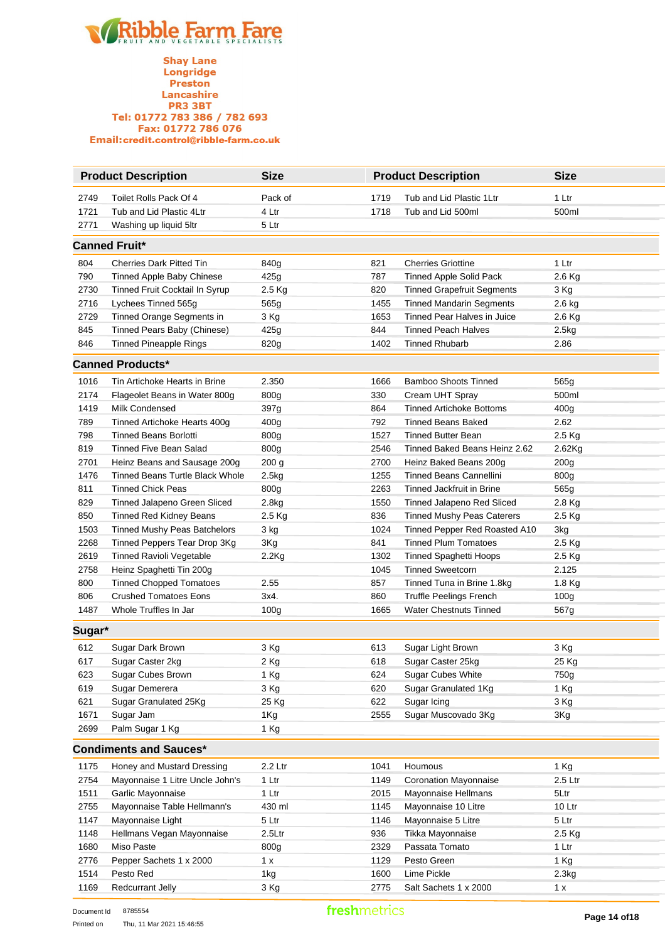

|        | <b>Product Description</b>          | <b>Size</b>      |      | <b>Product Description</b>        | <b>Size</b>      |
|--------|-------------------------------------|------------------|------|-----------------------------------|------------------|
| 2749   | Toilet Rolls Pack Of 4              | Pack of          | 1719 | Tub and Lid Plastic 1Ltr          | 1 Ltr            |
| 1721   | Tub and Lid Plastic 4Ltr            | 4 Ltr            | 1718 | Tub and Lid 500ml                 | 500ml            |
| 2771   | Washing up liquid 5ltr              | 5 Ltr            |      |                                   |                  |
|        | <b>Canned Fruit*</b>                |                  |      |                                   |                  |
| 804    | <b>Cherries Dark Pitted Tin</b>     | 840g             | 821  | <b>Cherries Griottine</b>         | 1 Ltr            |
| 790    | Tinned Apple Baby Chinese           | 425g             | 787  | <b>Tinned Apple Solid Pack</b>    | 2.6 Kg           |
| 2730   | Tinned Fruit Cocktail In Syrup      | 2.5 Kg           | 820  | <b>Tinned Grapefruit Segments</b> | 3 Kg             |
| 2716   | Lychees Tinned 565g                 | 565g             | 1455 | <b>Tinned Mandarin Segments</b>   | 2.6 kg           |
| 2729   | Tinned Orange Segments in           | 3 Kg             | 1653 | Tinned Pear Halves in Juice       | 2.6 Kg           |
| 845    | Tinned Pears Baby (Chinese)         | 425g             | 844  | <b>Tinned Peach Halves</b>        | 2.5kg            |
| 846    | <b>Tinned Pineapple Rings</b>       | 820g             | 1402 | <b>Tinned Rhubarb</b>             | 2.86             |
|        | <b>Canned Products*</b>             |                  |      |                                   |                  |
| 1016   | Tin Artichoke Hearts in Brine       | 2.350            | 1666 | <b>Bamboo Shoots Tinned</b>       | 565g             |
| 2174   | Flageolet Beans in Water 800g       | 800g             | 330  | Cream UHT Spray                   | 500ml            |
| 1419   | Milk Condensed                      | 397g             | 864  | <b>Tinned Artichoke Bottoms</b>   | 400g             |
| 789    | Tinned Artichoke Hearts 400g        | 400g             | 792  | <b>Tinned Beans Baked</b>         | 2.62             |
| 798    | <b>Tinned Beans Borlotti</b>        | 800g             | 1527 | <b>Tinned Butter Bean</b>         | 2.5 Kg           |
| 819    | <b>Tinned Five Bean Salad</b>       | 800g             | 2546 | Tinned Baked Beans Heinz 2.62     | 2.62Kg           |
| 2701   | Heinz Beans and Sausage 200g        | 200 g            | 2700 | Heinz Baked Beans 200g            | 200g             |
| 1476   | Tinned Beans Turtle Black Whole     | 2.5kg            | 1255 | Tinned Beans Cannellini           | 800g             |
| 811    | <b>Tinned Chick Peas</b>            | 800g             | 2263 | Tinned Jackfruit in Brine         | 565g             |
| 829    | Tinned Jalapeno Green Sliced        | 2.8kg            | 1550 | Tinned Jalapeno Red Sliced        | 2.8 Kg           |
| 850    | <b>Tinned Red Kidney Beans</b>      | 2.5 Kg           | 836  | <b>Tinned Mushy Peas Caterers</b> | 2.5 Kg           |
| 1503   | <b>Tinned Mushy Peas Batchelors</b> | 3 kg             | 1024 | Tinned Pepper Red Roasted A10     | 3kg              |
| 2268   | Tinned Peppers Tear Drop 3Kg        | 3Kg              | 841  | <b>Tinned Plum Tomatoes</b>       | 2.5 Kg           |
| 2619   | Tinned Ravioli Vegetable            | $2.2$ Kg         | 1302 | <b>Tinned Spaghetti Hoops</b>     | 2.5 Kg           |
| 2758   | Heinz Spaghetti Tin 200g            |                  | 1045 | <b>Tinned Sweetcorn</b>           | 2.125            |
| 800    | <b>Tinned Chopped Tomatoes</b>      | 2.55             | 857  | Tinned Tuna in Brine 1.8kg        | 1.8 Kg           |
| 806    | <b>Crushed Tomatoes Eons</b>        | 3x4.             | 860  | <b>Truffle Peelings French</b>    | 100 <sub>g</sub> |
| 1487   | Whole Truffles In Jar               | 100 <sub>g</sub> | 1665 | <b>Water Chestnuts Tinned</b>     | 567g             |
| Sugar* |                                     |                  |      |                                   |                  |
| 612    | Sugar Dark Brown                    | 3 Kg             | 613  | Sugar Light Brown                 | 3 Kg             |
| 617    | Sugar Caster 2kg                    | 2 Kg             | 618  | Sugar Caster 25kg                 | 25 Kg            |
| 623    | Sugar Cubes Brown                   | 1 Kg             | 624  | Sugar Cubes White                 | 750g             |
| 619    | Sugar Demerera                      | 3 Kg             | 620  | Sugar Granulated 1Kg              | 1 Kg             |
| 621    | Sugar Granulated 25Kg               | 25 Kg            | 622  | Sugar Icing                       | 3 Kg             |
| 1671   | Sugar Jam                           | 1Kg              | 2555 | Sugar Muscovado 3Kg               | 3Kg              |
| 2699   | Palm Sugar 1 Kg                     | 1 Kg             |      |                                   |                  |
|        | <b>Condiments and Sauces*</b>       |                  |      |                                   |                  |
| 1175   | Honey and Mustard Dressing          | 2.2 Ltr          | 1041 | Houmous                           | 1 Kg             |
| 2754   | Mayonnaise 1 Litre Uncle John's     | $1$ Ltr          | 1149 | <b>Coronation Mayonnaise</b>      | 2.5 Ltr          |
| 1511   | Garlic Mayonnaise                   | 1 Ltr            | 2015 | Mayonnaise Hellmans               | 5Ltr             |
| 2755   | Mayonnaise Table Hellmann's         | 430 ml           | 1145 | Mayonnaise 10 Litre               | 10 Ltr           |
| 1147   | Mayonnaise Light                    | 5 Ltr            | 1146 | Mayonnaise 5 Litre                | 5 Ltr            |
| 1148   | Hellmans Vegan Mayonnaise           | 2.5Ltr           | 936  | Tikka Mayonnaise                  | 2.5 Kg           |
| 1680   | Miso Paste                          | 800g             | 2329 | Passata Tomato                    | 1 Ltr            |
| 2776   | Pepper Sachets 1 x 2000             | 1 x              | 1129 | Pesto Green                       | 1 Kg             |
| 1514   | Pesto Red                           | 1kg              | 1600 | Lime Pickle                       | 2.3kg            |
| 1169   | <b>Redcurrant Jelly</b>             | 3 Kg             | 2775 | Salt Sachets 1 x 2000             | 1 x              |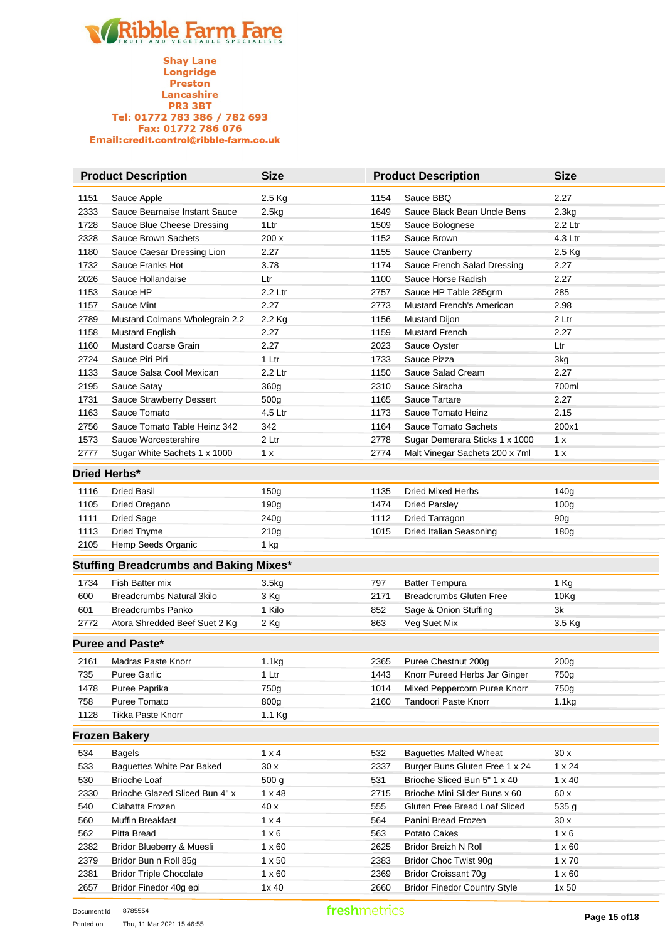|      | <b>Product Description</b>                    | <b>Size</b>       |      | <b>Product Description</b>          | <b>Size</b>      |
|------|-----------------------------------------------|-------------------|------|-------------------------------------|------------------|
| 1151 | Sauce Apple                                   | $2.5$ Kg          | 1154 | Sauce BBQ                           | 2.27             |
| 2333 | Sauce Bearnaise Instant Sauce                 | 2.5kg             | 1649 | Sauce Black Bean Uncle Bens         | 2.3kg            |
| 1728 | Sauce Blue Cheese Dressing                    | 1Ltr              | 1509 | Sauce Bolognese                     | 2.2 Ltr          |
| 2328 | <b>Sauce Brown Sachets</b>                    | 200 x             | 1152 | Sauce Brown                         | 4.3 Ltr          |
| 1180 | Sauce Caesar Dressing Lion                    | 2.27              | 1155 | Sauce Cranberry                     | 2.5 Kg           |
| 1732 | Sauce Franks Hot                              | 3.78              | 1174 | Sauce French Salad Dressing         | 2.27             |
| 2026 | Sauce Hollandaise                             | Ltr               | 1100 | Sauce Horse Radish                  | 2.27             |
| 1153 | Sauce HP                                      | 2.2 Ltr           | 2757 | Sauce HP Table 285grm               | 285              |
| 1157 | Sauce Mint                                    | 2.27              | 2773 | Mustard French's American           | 2.98             |
| 2789 | Mustard Colmans Wholegrain 2.2                | 2.2 Kg            | 1156 | Mustard Dijon                       | 2 Ltr            |
| 1158 | <b>Mustard English</b>                        | 2.27              | 1159 | Mustard French                      | 2.27             |
| 1160 | Mustard Coarse Grain                          | 2.27              | 2023 | Sauce Oyster                        | Ltr              |
| 2724 | Sauce Piri Piri                               | 1 Ltr             | 1733 | Sauce Pizza                         | 3kg              |
| 1133 | Sauce Salsa Cool Mexican                      | 2.2 Ltr           | 1150 | Sauce Salad Cream                   | 2.27             |
| 2195 | Sauce Satay                                   | 360g              | 2310 | Sauce Siracha                       | 700ml            |
| 1731 | Sauce Strawberry Dessert                      | 500 <sub>g</sub>  | 1165 | Sauce Tartare                       | 2.27             |
| 1163 | Sauce Tomato                                  | 4.5 Ltr           | 1173 | Sauce Tomato Heinz                  | 2.15             |
| 2756 | Sauce Tomato Table Heinz 342                  | 342               | 1164 | <b>Sauce Tomato Sachets</b>         | 200x1            |
| 1573 | Sauce Worcestershire                          | 2 Ltr             | 2778 | Sugar Demerara Sticks 1 x 1000      | 1 x              |
| 2777 | Sugar White Sachets 1 x 1000                  | 1 x               | 2774 | Malt Vinegar Sachets 200 x 7ml      | 1 x              |
|      | Dried Herbs*                                  |                   |      |                                     |                  |
| 1116 | <b>Dried Basil</b>                            | 150g              | 1135 | <b>Dried Mixed Herbs</b>            | 140g             |
| 1105 | Dried Oregano                                 | 190g              | 1474 | <b>Dried Parsley</b>                | 100 <sub>g</sub> |
| 1111 | <b>Dried Sage</b>                             | 240g              | 1112 | Dried Tarragon                      | 90g              |
| 1113 | Dried Thyme                                   | 210g              | 1015 | Dried Italian Seasoning             | 180g             |
| 2105 | Hemp Seeds Organic                            | 1 kg              |      |                                     |                  |
|      | <b>Stuffing Breadcrumbs and Baking Mixes*</b> |                   |      |                                     |                  |
|      |                                               |                   |      |                                     |                  |
| 1734 | Fish Batter mix                               | 3.5kg             | 797  | <b>Batter Tempura</b>               | 1 Kg             |
| 600  | <b>Breadcrumbs Natural 3kilo</b>              | 3 Kg              | 2171 | <b>Breadcrumbs Gluten Free</b>      | 10Kg             |
| 601  | <b>Breadcrumbs Panko</b>                      | 1 Kilo            | 852  | Sage & Onion Stuffing               | 3k               |
| 2772 | Atora Shredded Beef Suet 2 Kg                 | 2 Kg              | 863  | Veg Suet Mix                        | 3.5 Kg           |
|      | <b>Puree and Paste*</b>                       |                   |      |                                     |                  |
| 2161 | <b>Madras Paste Knorr</b>                     | 1.1 <sub>kg</sub> | 2365 | Puree Chestnut 200g                 | 200g             |
| 735  | <b>Puree Garlic</b>                           | $1$ Ltr           | 1443 | Knorr Pureed Herbs Jar Ginger       | 750g             |
| 1478 | Puree Paprika                                 | 750g              | 1014 | Mixed Peppercorn Puree Knorr        | 750g             |
| 758  | Puree Tomato                                  | 800g              | 2160 | Tandoori Paste Knorr                | 1.1kg            |
| 1128 | Tikka Paste Knorr                             | 1.1 Kg            |      |                                     |                  |
|      | <b>Frozen Bakery</b>                          |                   |      |                                     |                  |
| 534  | <b>Bagels</b>                                 | $1 \times 4$      | 532  | <b>Baguettes Malted Wheat</b>       | 30x              |
| 533  | Baguettes White Par Baked                     | 30x               | 2337 | Burger Buns Gluten Free 1 x 24      | $1 \times 24$    |
| 530  | <b>Brioche Loaf</b>                           | 500 g             | 531  | Brioche Sliced Bun 5" 1 x 40        | $1 \times 40$    |
| 2330 | Brioche Glazed Sliced Bun 4" x                | $1 \times 48$     | 2715 | Brioche Mini Slider Buns x 60       | 60 x             |
| 540  | Ciabatta Frozen                               | 40 x              | 555  | Gluten Free Bread Loaf Sliced       | 535 g            |
| 560  | Muffin Breakfast                              | $1 \times 4$      | 564  | Panini Bread Frozen                 | 30x              |
| 562  | Pitta Bread                                   | $1 \times 6$      | 563  | Potato Cakes                        | $1 \times 6$     |
| 2382 | Bridor Blueberry & Muesli                     | $1 \times 60$     | 2625 | Bridor Breizh N Roll                | $1 \times 60$    |
| 2379 | Bridor Bun n Roll 85g                         | $1 \times 50$     | 2383 | Bridor Choc Twist 90g               | $1 \times 70$    |
| 2381 | <b>Bridor Triple Chocolate</b>                | $1 \times 60$     | 2369 | <b>Bridor Croissant 70g</b>         | $1 \times 60$    |
| 2657 | Bridor Finedor 40g epi                        | 1x 40             | 2660 | <b>Bridor Finedor Country Style</b> | 1x 50            |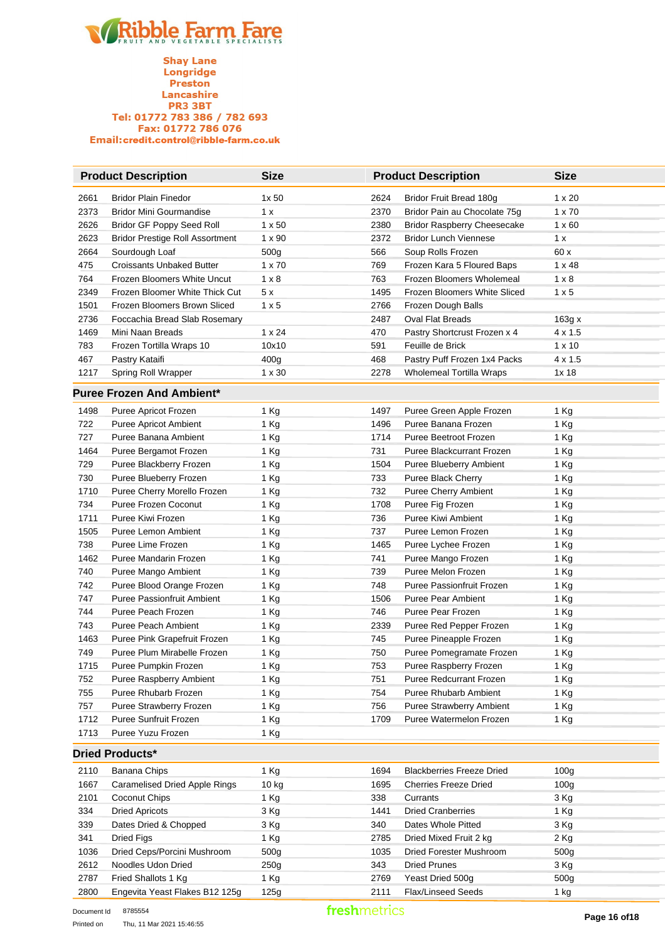|      | <b>Product Description</b>             | <b>Size</b>   |      | <b>Product Description</b>         | <b>Size</b>      |
|------|----------------------------------------|---------------|------|------------------------------------|------------------|
| 2661 | <b>Bridor Plain Finedor</b>            | 1x50          | 2624 | Bridor Fruit Bread 180g            | $1 \times 20$    |
| 2373 | <b>Bridor Mini Gourmandise</b>         | 1 x           | 2370 | Bridor Pain au Chocolate 75g       | $1 \times 70$    |
| 2626 | Bridor GF Poppy Seed Roll              | $1 \times 50$ | 2380 | <b>Bridor Raspberry Cheesecake</b> | $1 \times 60$    |
| 2623 | <b>Bridor Prestige Roll Assortment</b> | $1 \times 90$ | 2372 | <b>Bridor Lunch Viennese</b>       | 1 x              |
| 2664 | Sourdough Loaf                         | 500g          | 566  | Soup Rolls Frozen                  | 60x              |
| 475  | <b>Croissants Unbaked Butter</b>       | $1 \times 70$ | 769  | Frozen Kara 5 Floured Baps         | $1 \times 48$    |
| 764  | Frozen Bloomers White Uncut            | $1 \times 8$  | 763  | Frozen Bloomers Wholemeal          | $1 \times 8$     |
| 2349 | Frozen Bloomer White Thick Cut         | 5x            | 1495 | Frozen Bloomers White Sliced       | $1 \times 5$     |
| 1501 | Frozen Bloomers Brown Sliced           | 1 x 5         | 2766 | Frozen Dough Balls                 |                  |
| 2736 | Foccachia Bread Slab Rosemary          |               | 2487 | <b>Oval Flat Breads</b>            | 163g x           |
| 1469 | Mini Naan Breads                       | $1 \times 24$ | 470  | Pastry Shortcrust Frozen x 4       | $4 \times 1.5$   |
| 783  | Frozen Tortilla Wraps 10               | 10x10         | 591  | Feuille de Brick                   | $1 \times 10$    |
| 467  | Pastry Kataifi                         | 400g          | 468  | Pastry Puff Frozen 1x4 Packs       | $4 \times 1.5$   |
| 1217 | Spring Roll Wrapper                    | $1 \times 30$ | 2278 | <b>Wholemeal Tortilla Wraps</b>    | 1x18             |
|      | <b>Puree Frozen And Ambient*</b>       |               |      |                                    |                  |
| 1498 | Puree Apricot Frozen                   | 1 Kg          | 1497 | Puree Green Apple Frozen           | 1 Kg             |
| 722  | <b>Puree Apricot Ambient</b>           | 1 Kg          | 1496 | Puree Banana Frozen                | 1 Kg             |
| 727  | Puree Banana Ambient                   | 1 Kg          | 1714 | Puree Beetroot Frozen              | 1 Kg             |
| 1464 | Puree Bergamot Frozen                  | 1 Kg          | 731  | Puree Blackcurrant Frozen          | 1 Kg             |
| 729  | Puree Blackberry Frozen                | 1 Kg          | 1504 | Puree Blueberry Ambient            | 1 Kg             |
| 730  | Puree Blueberry Frozen                 | 1 Kg          | 733  | Puree Black Cherry                 | 1 Kg             |
| 1710 | Puree Cherry Morello Frozen            | 1 Kg          | 732  | Puree Cherry Ambient               | 1 Kg             |
| 734  | <b>Puree Frozen Coconut</b>            | 1 Kg          | 1708 | Puree Fig Frozen                   | 1 Kg             |
| 1711 | Puree Kiwi Frozen                      | 1 Kg          | 736  | Puree Kiwi Ambient                 | 1 Kg             |
| 1505 | Puree Lemon Ambient                    | 1 Kg          | 737  | Puree Lemon Frozen                 | 1 Kg             |
| 738  | Puree Lime Frozen                      | 1 Kg          | 1465 | Puree Lychee Frozen                | 1 Kg             |
| 1462 | Puree Mandarin Frozen                  | 1 Kg          | 741  | Puree Mango Frozen                 | 1 Kg             |
| 740  | Puree Mango Ambient                    | 1 Kg          | 739  | Puree Melon Frozen                 | 1 Kg             |
| 742  | Puree Blood Orange Frozen              | 1 Kg          | 748  | Puree Passionfruit Frozen          | 1 Kg             |
| 747  | <b>Puree Passionfruit Ambient</b>      | 1 Kg          | 1506 | <b>Puree Pear Ambient</b>          | 1 Kg             |
| 744  | Puree Peach Frozen                     | 1 Kg          | 746  | Puree Pear Frozen                  | 1 Kg             |
| 743  | <b>Puree Peach Ambient</b>             | 1 Kg          | 2339 | Puree Red Pepper Frozen            | 1 Kg             |
| 1463 | Puree Pink Grapefruit Frozen           | 1 Kg          | 745  | Puree Pineapple Frozen             | 1 Kg             |
| 749  | Puree Plum Mirabelle Frozen            | 1 Kg          | 750  | Puree Pomegramate Frozen           | 1 Kg             |
| 1715 | Puree Pumpkin Frozen                   | 1 Kg          | 753  | Puree Raspberry Frozen             | 1 Kg             |
| 752  | Puree Raspberry Ambient                | 1 Kg          | 751  | Puree Redcurrant Frozen            | 1 Kg             |
| 755  | Puree Rhubarb Frozen                   | 1 Kg          | 754  | <b>Puree Rhubarb Ambient</b>       | 1 Kg             |
| 757  | Puree Strawberry Frozen                | 1 Kg          | 756  | Puree Strawberry Ambient           | 1 Kg             |
| 1712 | Puree Sunfruit Frozen                  | 1 Kg          | 1709 | Puree Watermelon Frozen            | 1 Kg             |
| 1713 | Puree Yuzu Frozen                      | 1 Kg          |      |                                    |                  |
|      | <b>Dried Products*</b>                 |               |      |                                    |                  |
| 2110 | Banana Chips                           | 1 Kg          | 1694 | <b>Blackberries Freeze Dried</b>   | 100 <sub>g</sub> |
| 1667 | <b>Caramelised Dried Apple Rings</b>   | 10 kg         | 1695 | <b>Cherries Freeze Dried</b>       | 100 <sub>g</sub> |
| 2101 | Coconut Chips                          | 1 Kg          | 338  | Currants                           | 3 Kg             |
| 334  | <b>Dried Apricots</b>                  | 3 Kg          | 1441 | <b>Dried Cranberries</b>           | 1 Kg             |
| 339  | Dates Dried & Chopped                  | 3 Kg          | 340  | Dates Whole Pitted                 | 3 Kg             |
| 341  | <b>Dried Figs</b>                      | 1 Kg          | 2785 | Dried Mixed Fruit 2 kg             | 2 Kg             |
| 1036 | Dried Ceps/Porcini Mushroom            | 500g          | 1035 | Dried Forester Mushroom            | 500g             |
| 2612 | Noodles Udon Dried                     | 250g          | 343  | <b>Dried Prunes</b>                | 3 Kg             |
| 2787 | Fried Shallots 1 Kg                    | 1 Kg          | 2769 | Yeast Dried 500g                   | 500g             |
| 2800 | Engevita Yeast Flakes B12 125g         | 125g          | 2111 | Flax/Linseed Seeds                 | 1 kg             |
|      |                                        |               |      |                                    |                  |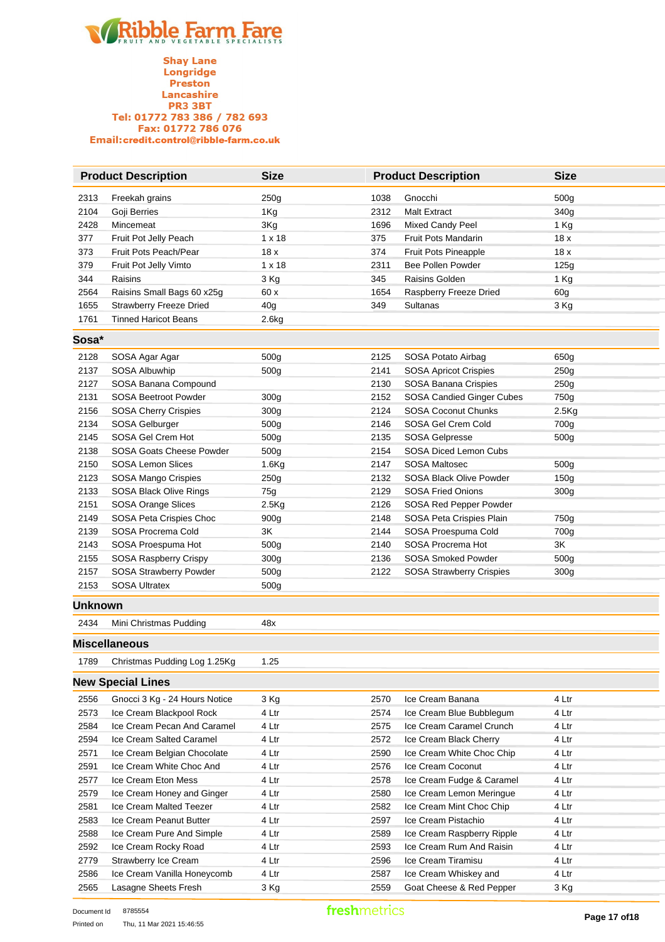

|                | <b>Product Description</b>      | <b>Size</b>     | <b>Product Description</b> |                                 | <b>Size</b>      |
|----------------|---------------------------------|-----------------|----------------------------|---------------------------------|------------------|
| 2313           | Freekah grains                  | 250g            | 1038                       | Gnocchi                         | 500 <sub>g</sub> |
| 2104           | Goji Berries                    | 1Kg             | 2312                       | <b>Malt Extract</b>             | 340g             |
| 2428           | Mincemeat                       | 3Kg             | 1696                       | Mixed Candy Peel                | 1 Kg             |
| 377            | Fruit Pot Jelly Peach           | $1 \times 18$   | 375                        | <b>Fruit Pots Mandarin</b>      | 18x              |
| 373            | Fruit Pots Peach/Pear           | 18x             | 374                        | Fruit Pots Pineapple            | 18x              |
| 379            | Fruit Pot Jelly Vimto           | $1 \times 18$   | 2311                       | <b>Bee Pollen Powder</b>        | 125g             |
| 344            | Raisins                         | 3 Kg            | 345                        | Raisins Golden                  | 1 Kg             |
| 2564           | Raisins Small Bags 60 x25g      | 60 x            | 1654                       | Raspberry Freeze Dried          | 60 <sub>g</sub>  |
| 1655           | <b>Strawberry Freeze Dried</b>  | 40 <sub>g</sub> | 349                        | <b>Sultanas</b>                 | 3 Kg             |
| 1761           | <b>Tinned Haricot Beans</b>     | 2.6kg           |                            |                                 |                  |
| Sosa*          |                                 |                 |                            |                                 |                  |
| 2128           | SOSA Agar Agar                  | 500g            | 2125                       | SOSA Potato Airbag              | 650g             |
| 2137           | SOSA Albuwhip                   | 500g            | 2141                       | SOSA Apricot Crispies           | 250g             |
| 2127           | SOSA Banana Compound            |                 | 2130                       | SOSA Banana Crispies            | 250g             |
| 2131           | <b>SOSA Beetroot Powder</b>     | 300g            | 2152                       | SOSA Candied Ginger Cubes       | 750g             |
| 2156           | SOSA Cherry Crispies            | 300g            | 2124                       | <b>SOSA Coconut Chunks</b>      | 2.5Kg            |
| 2134           | SOSA Gelburger                  | 500g            | 2146                       | SOSA Gel Crem Cold              | 700g             |
| 2145           | SOSA Gel Crem Hot               | 500g            | 2135                       | SOSA Gelpresse                  | 500g             |
| 2138           | <b>SOSA Goats Cheese Powder</b> | 500g            | 2154                       | <b>SOSA Diced Lemon Cubs</b>    |                  |
| 2150           | <b>SOSA Lemon Slices</b>        | 1.6Kg           | 2147                       | <b>SOSA Maltosec</b>            | 500g             |
| 2123           | SOSA Mango Crispies             | 250g            | 2132                       | SOSA Black Olive Powder         | 150g             |
| 2133           | SOSA Black Olive Rings          | 75g             | 2129                       | <b>SOSA Fried Onions</b>        | 300g             |
| 2151           | SOSA Orange Slices              | 2.5Kg           | 2126                       | SOSA Red Pepper Powder          |                  |
| 2149           | SOSA Peta Crispies Choc         | 900g            | 2148                       | SOSA Peta Crispies Plain        | 750g             |
| 2139           | SOSA Procrema Cold              | 3K              | 2144                       | SOSA Proespuma Cold             | 700g             |
| 2143           | SOSA Proespuma Hot              | 500g            | 2140                       | SOSA Procrema Hot               | 3K               |
| 2155           | SOSA Raspberry Crispy           | 300g            | 2136                       | <b>SOSA Smoked Powder</b>       | 500g             |
| 2157           | SOSA Strawberry Powder          | 500g            | 2122                       | <b>SOSA Strawberry Crispies</b> | 300g             |
| 2153           | <b>SOSA Ultratex</b>            | 500g            |                            |                                 |                  |
| <b>Unknown</b> |                                 |                 |                            |                                 |                  |
| 2434           | Mini Christmas Pudding          | 48x             |                            |                                 |                  |
|                | <b>Miscellaneous</b>            |                 |                            |                                 |                  |
| 1789           | Christmas Pudding Log 1.25Kg    | 1.25            |                            |                                 |                  |
|                | <b>New Special Lines</b>        |                 |                            |                                 |                  |
| 2556           | Gnocci 3 Kg - 24 Hours Notice   | 3 Kg            | 2570                       | Ice Cream Banana                | 4 Ltr            |
| 2573           | Ice Cream Blackpool Rock        | 4 Ltr           | 2574                       | Ice Cream Blue Bubblegum        | 4 Ltr            |
| 2584           | Ice Cream Pecan And Caramel     | 4 Ltr           | 2575                       | Ice Cream Caramel Crunch        | 4 Ltr            |
| 2594           | Ice Cream Salted Caramel        | 4 Ltr           | 2572                       | Ice Cream Black Cherry          | 4 Ltr            |
| 2571           | Ice Cream Belgian Chocolate     | 4 Ltr           | 2590                       | Ice Cream White Choc Chip       | 4 Ltr            |
| 2591           | Ice Cream White Choc And        | 4 Ltr           | 2576                       | Ice Cream Coconut               | 4 Ltr            |
| 2577           | Ice Cream Eton Mess             | 4 Ltr           | 2578                       | Ice Cream Fudge & Caramel       | 4 Ltr            |
| 2579           | Ice Cream Honey and Ginger      | 4 Ltr           | 2580                       | Ice Cream Lemon Meringue        | 4 Ltr            |
| 2581           | Ice Cream Malted Teezer         | 4 Ltr           | 2582                       | Ice Cream Mint Choc Chip        | 4 Ltr            |
| 2583           | Ice Cream Peanut Butter         | 4 Ltr           | 2597                       | Ice Cream Pistachio             | 4 Ltr            |
| 2588           | Ice Cream Pure And Simple       | 4 Ltr           | 2589                       | Ice Cream Raspberry Ripple      | 4 Ltr            |
| 2592           | Ice Cream Rocky Road            | 4 Ltr           | 2593                       | Ice Cream Rum And Raisin        | 4 Ltr            |
| 2779           | Strawberry Ice Cream            | 4 Ltr           | 2596                       | Ice Cream Tiramisu              | 4 Ltr            |
| 2586           | Ice Cream Vanilla Honeycomb     | 4 Ltr           | 2587                       | Ice Cream Whiskey and           | 4 Ltr            |
| 2565           | Lasagne Sheets Fresh            | 3 Kg            | 2559                       | Goat Cheese & Red Pepper        | 3 Kg             |